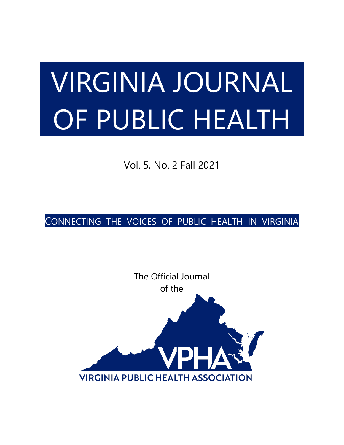# VIRGINIA JOURNAL OF PUBLIC HEALTH

Vol. 5, No. 2 Fall 2021

CONNECTING THE VOICES OF PUBLIC HEALTH IN VIRGINIA

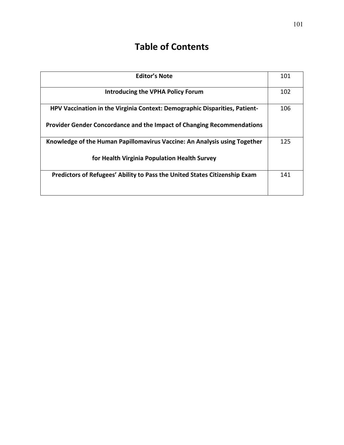# **Table of Contents**

| <b>Editor's Note</b>                                                       | 101 |
|----------------------------------------------------------------------------|-----|
| <b>Introducing the VPHA Policy Forum</b>                                   | 102 |
| HPV Vaccination in the Virginia Context: Demographic Disparities, Patient- | 106 |
| Provider Gender Concordance and the Impact of Changing Recommendations     |     |
| Knowledge of the Human Papillomavirus Vaccine: An Analysis using Together  | 125 |
| for Health Virginia Population Health Survey                               |     |
| Predictors of Refugees' Ability to Pass the United States Citizenship Exam | 141 |
|                                                                            |     |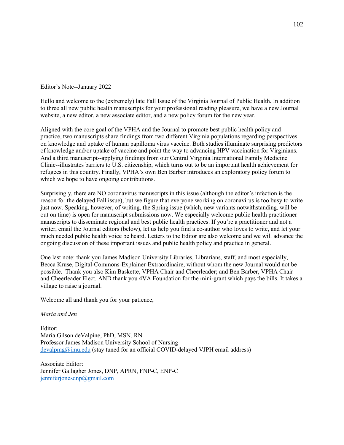Editor's Note--January 2022

Hello and welcome to the (extremely) late Fall Issue of the Virginia Journal of Public Health. In addition to three all new public health manuscripts for your professional reading pleasure, we have a new Journal website, a new editor, a new associate editor, and a new policy forum for the new year.

Aligned with the core goal of the VPHA and the Journal to promote best public health policy and practice, two manuscripts share findings from two different Virginia populations regarding perspectives on knowledge and uptake of human papilloma virus vaccine. Both studies illuminate surprising predictors of knowledge and/or uptake of vaccine and point the way to advancing HPV vaccination for Virginians. And a third manuscript--applying findings from our Central Virginia International Family Medicine Clinic--illustrates barriers to U.S. citizenship, which turns out to be an important health achievement for refugees in this country. Finally, VPHA's own Ben Barber introduces an exploratory policy forum to which we hope to have ongoing contributions.

Surprisingly, there are NO coronavirus manuscripts in this issue (although the editor's infection is the reason for the delayed Fall issue), but we figure that everyone working on coronavirus is too busy to write just now. Speaking, however, of writing, the Spring issue (which, new variants notwithstanding, will be out on time) is open for manuscript submissions now. We especially welcome public health practitioner manuscripts to disseminate regional and best public health practices. If you're a practitioner and not a writer, email the Journal editors (below), let us help you find a co-author who loves to write, and let your much needed public health voice be heard. Letters to the Editor are also welcome and we will advance the ongoing discussion of these important issues and public health policy and practice in general.

One last note: thank you James Madison University Libraries, Librarians, staff, and most especially, Becca Kruse, Digital-Commons-Explainer-Extraordinaire, without whom the new Journal would not be possible. Thank you also Kim Baskette, VPHA Chair and Cheerleader; and Ben Barber, VPHA Chair and Cheerleader Elect. AND thank you 4VA Foundation for the mini-grant which pays the bills. It takes a village to raise a journal.

Welcome all and thank you for your patience,

#### *Maria and Jen*

Editor: Maria Gilson deValpine, PhD, MSN, RN Professor James Madison University School of Nursing [devalpmg@jmu.edu](mailto:devalpmg@jmu.edu) (stay tuned for an official COVID-delayed VJPH email address)

Associate Editor: Jennifer Gallagher Jones, DNP, APRN, FNP-C, ENP-C [jenniferjonesdnp@gmail.com](mailto:jenniferjonesdnp@gmail.com)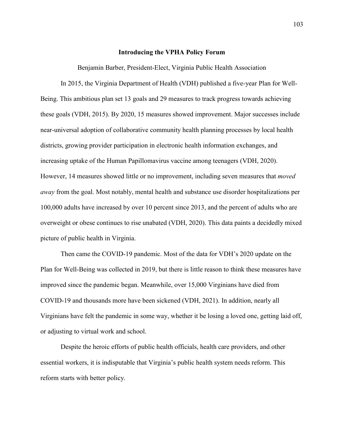#### **Introducing the VPHA Policy Forum**

Benjamin Barber, President-Elect, Virginia Public Health Association

In 2015, the Virginia Department of Health (VDH) published a five-year Plan for Well-Being. This ambitious plan set 13 goals and 29 measures to track progress towards achieving these goals (VDH, 2015). By 2020, 15 measures showed improvement. Major successes include near-universal adoption of collaborative community health planning processes by local health districts, growing provider participation in electronic health information exchanges, and increasing uptake of the Human Papillomavirus vaccine among teenagers (VDH, 2020). However, 14 measures showed little or no improvement, including seven measures that *moved away* from the goal. Most notably, mental health and substance use disorder hospitalizations per 100,000 adults have increased by over 10 percent since 2013, and the percent of adults who are overweight or obese continues to rise unabated (VDH, 2020). This data paints a decidedly mixed picture of public health in Virginia.

Then came the COVID-19 pandemic. Most of the data for VDH's 2020 update on the Plan for Well-Being was collected in 2019, but there is little reason to think these measures have improved since the pandemic began. Meanwhile, over 15,000 Virginians have died from COVID-19 and thousands more have been sickened (VDH, 2021). In addition, nearly all Virginians have felt the pandemic in some way, whether it be losing a loved one, getting laid off, or adjusting to virtual work and school.

Despite the heroic efforts of public health officials, health care providers, and other essential workers, it is indisputable that Virginia's public health system needs reform. This reform starts with better policy.

103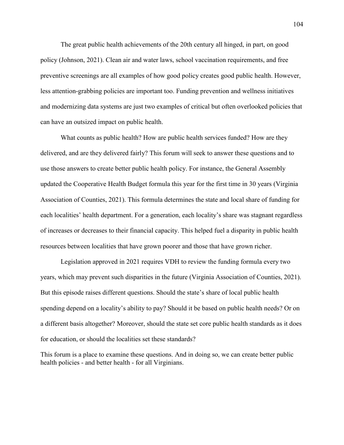The great public health achievements of the 20th century all hinged, in part, on good policy (Johnson, 2021). Clean air and water laws, school vaccination requirements, and free preventive screenings are all examples of how good policy creates good public health. However, less attention-grabbing policies are important too. Funding prevention and wellness initiatives and modernizing data systems are just two examples of critical but often overlooked policies that can have an outsized impact on public health.

What counts as public health? How are public health services funded? How are they delivered, and are they delivered fairly? This forum will seek to answer these questions and to use those answers to create better public health policy. For instance, the General Assembly updated the Cooperative Health Budget formula this year for the first time in 30 years (Virginia Association of Counties, 2021). This formula determines the state and local share of funding for each localities' health department. For a generation, each locality's share was stagnant regardless of increases or decreases to their financial capacity. This helped fuel a disparity in public health resources between localities that have grown poorer and those that have grown richer.

Legislation approved in 2021 requires VDH to review the funding formula every two years, which may prevent such disparities in the future (Virginia Association of Counties, 2021). But this episode raises different questions. Should the state's share of local public health spending depend on a locality's ability to pay? Should it be based on public health needs? Or on a different basis altogether? Moreover, should the state set core public health standards as it does for education, or should the localities set these standards?

This forum is a place to examine these questions. And in doing so, we can create better public health policies - and better health - for all Virginians.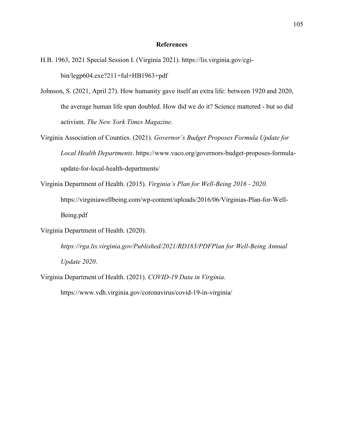#### **References**

- H.B. 1963, 2021 Special Session I. (Virginia 2021). https://lis.virginia.gov/cgibin/legp604.exe?211+ful+HB1963+pdf
- Johnson, S. (2021, April 27). How humanity gave itself an extra life: between 1920 and 2020, the average human life span doubled. How did we do it? Science mattered - but so did activism. *The New York Times Magazine*.
- Virginia Association of Counties. (2021). *Governor's Budget Proposes Formula Update for Local Health Departments*. https://www.vaco.org/governors-budget-proposes-formulaupdate-for-local-health-departments/
- Virginia Department of Health. (2015). *Virginia's Plan for Well-Being 2016 - 2020*.

https://virginiawellbeing.com/wp-content/uploads/2016/06/Virginias-Plan-for-Well-Being.pdf

Virginia Department of Health. (2020).

*https://rga.lis.virginia.gov/Published/2021/RD183/PDFPlan for Well-Being Annual Update 2020*.

Virginia Department of Health. (2021). *COVID-19 Data in Virginia*.

<https://www.vdh.virginia.gov/coronavirus/covid-19-in-virginia/>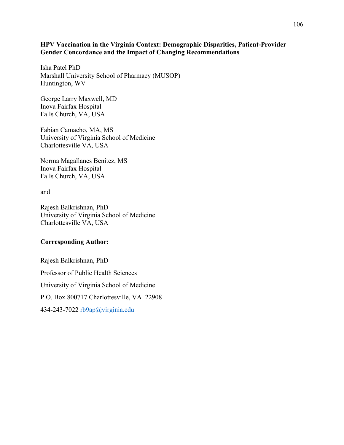#### **HPV Vaccination in the Virginia Context: Demographic Disparities, Patient-Provider Gender Concordance and the Impact of Changing Recommendations**

Isha Patel PhD Marshall University School of Pharmacy (MUSOP) Huntington, WV

George Larry Maxwell, MD Inova Fairfax Hospital Falls Church, VA, USA

Fabian Camacho, MA, MS University of Virginia School of Medicine Charlottesville VA, USA

Norma Magallanes Benitez, MS Inova Fairfax Hospital Falls Church, VA, USA

and

Rajesh Balkrishnan, PhD University of Virginia School of Medicine Charlottesville VA, USA

#### **Corresponding Author:**

Rajesh Balkrishnan, PhD Professor of Public Health Sciences University of Virginia School of Medicine P.O. Box 800717 Charlottesville, VA 22908 434-243-7022 [rb9ap@virginia.edu](mailto:rb9ap@virginia.edu)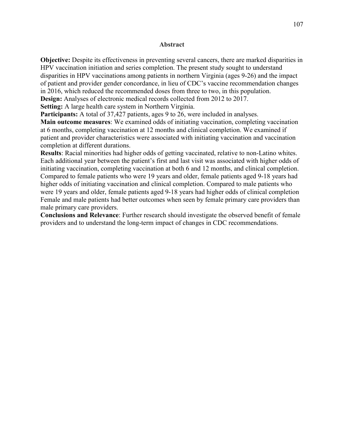#### **Abstract**

**Objective:** Despite its effectiveness in preventing several cancers, there are marked disparities in HPV vaccination initiation and series completion. The present study sought to understand disparities in HPV vaccinations among patients in northern Virginia (ages 9-26) and the impact of patient and provider gender concordance, in lieu of CDC's vaccine recommendation changes in 2016, which reduced the recommended doses from three to two, in this population. **Design:** Analyses of electronic medical records collected from 2012 to 2017.

**Setting:** A large health care system in Northern Virginia.

**Participants:** A total of 37,427 patients, ages 9 to 26, were included in analyses.

**Main outcome measures**: We examined odds of initiating vaccination, completing vaccination at 6 months, completing vaccination at 12 months and clinical completion. We examined if patient and provider characteristics were associated with initiating vaccination and vaccination completion at different durations.

**Results**: Racial minorities had higher odds of getting vaccinated, relative to non-Latino whites. Each additional year between the patient's first and last visit was associated with higher odds of initiating vaccination, completing vaccination at both 6 and 12 months, and clinical completion. Compared to female patients who were 19 years and older, female patients aged 9-18 years had higher odds of initiating vaccination and clinical completion. Compared to male patients who were 19 years and older, female patients aged 9-18 years had higher odds of clinical completion Female and male patients had better outcomes when seen by female primary care providers than male primary care providers.

**Conclusions and Relevance**: Further research should investigate the observed benefit of female providers and to understand the long-term impact of changes in CDC recommendations.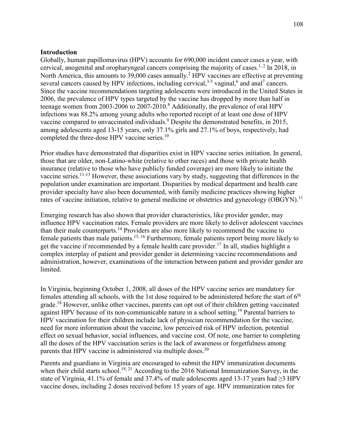#### **Introduction**

Globally, human papillomavirus (HPV) accounts for 690,000 incident cancer cases a year, with cervical, anogenital and oropharyngeal cancers comprising the majority of cases.<sup>1, 2</sup> In 2018, in North America, this amounts to 39,000 cases annually.<sup>2</sup> HPV vaccines are effective at preventing several cancers caused by HPV infections, including cervical,  $3-5$  vaginal,  $6$  and anal<sup>7</sup> cancers. Since the vaccine recommendations targeting adolescents were introduced in the United States in 2006, the prevalence of HPV types targeted by the vaccine has dropped by more than half in teenage women from 2003-2006 to 2007-2010.<sup>8</sup> Additionally, the prevalence of oral HPV infections was 88.2% among young adults who reported receipt of at least one dose of HPV vaccine compared to unvaccinated individuals.<sup>9</sup> Despite the demonstrated benefits, in 2015, among adolescents aged 13-15 years, only 37.1% girls and 27.1% of boys, respectively, had completed the three-dose HPV vaccine series.<sup>10</sup>

Prior studies have demonstrated that disparities exist in HPV vaccine series initiation. In general, those that are older, non-Latino-white (relative to other races) and those with private health insurance (relative to those who have publicly funded coverage) are more likely to initiate the vaccine series.<sup>11-13</sup> However, these associations vary by study, suggesting that differences in the population under examination are important. Disparities by medical department and health care provider specialty have also been documented, with family medicine practices showing higher rates of vaccine initiation, relative to general medicine or obstetrics and gynecology (OBGYN).<sup>11</sup>

Emerging research has also shown that provider characteristics, like provider gender, may influence HPV vaccination rates. Female providers are more likely to deliver adolescent vaccines than their male counterparts.<sup>14</sup> Providers are also more likely to recommend the vaccine to female patients than male patients.15, 16 Furthermore, female patients report being more likely to get the vaccine if recommended by a female health care provider.<sup>17</sup> In all, studies highlight a complex interplay of patient and provider gender in determining vaccine recommendations and administration, however, examinations of the interaction between patient and provider gender are limited.

In Virginia, beginning October 1, 2008, all doses of the HPV vaccine series are mandatory for females attending all schools, with the 1st dose required to be administered before the start of  $6<sup>th</sup>$ grade.<sup>18</sup> However, unlike other vaccines, parents can opt out of their children getting vaccinated against HPV because of its non-communicable nature in a school setting.<sup>19</sup> Parental barriers to HPV vaccination for their children include lack of physician recommendation for the vaccine, need for more information about the vaccine, low perceived risk of HPV infection, potential effect on sexual behavior, social influences, and vaccine cost. Of note, one barrier to completing all the doses of the HPV vaccination series is the lack of awareness or forgetfulness among parents that HPV vaccine is administered via multiple doses.<sup>20</sup>

Parents and guardians in Virginia are encouraged to submit the HPV immunization documents when their child starts school.<sup>19, 21</sup> According to the 2016 National Immunization Survey, in the state of Virginia, 41.1% of female and 37.4% of male adolescents aged 13-17 years had  $\geq$ 3 HPV vaccine doses, including 2 doses received before 15 years of age. HPV immunization rates for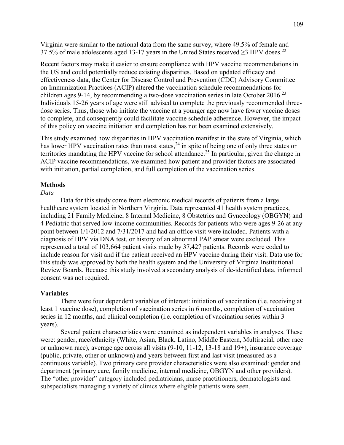Virginia were similar to the national data from the same survey, where 49.5% of female and 37.5% of male adolescents aged 13-17 years in the United States received  $\geq$ 3 HPV doses.<sup>22</sup>

Recent factors may make it easier to ensure compliance with HPV vaccine recommendations in the US and could potentially reduce existing disparities. Based on updated efficacy and effectiveness data, the Center for Disease Control and Prevention (CDC) Advisory Committee on Immunization Practices (ACIP) altered the vaccination schedule recommendations for children ages 9-14, by recommending a two-dose vaccination series in late October 2016.<sup>23</sup> Individuals 15-26 years of age were still advised to complete the previously recommended threedose series. Thus, those who initiate the vaccine at a younger age now have fewer vaccine doses to complete, and consequently could facilitate vaccine schedule adherence. However, the impact of this policy on vaccine initiation and completion has not been examined extensively.

This study examined how disparities in HPV vaccination manifest in the state of Virginia, which has lower HPV vaccination rates than most states,<sup>24</sup> in spite of being one of only three states or territories mandating the HPV vaccine for school attendance.<sup>25</sup> In particular, given the change in ACIP vaccine recommendations, we examined how patient and provider factors are associated with initiation, partial completion, and full completion of the vaccination series.

#### **Methods**

#### *Data*

Data for this study come from electronic medical records of patients from a large healthcare system located in Northern Virginia. Data represented 41 health system practices, including 21 Family Medicine, 8 Internal Medicine, 8 Obstetrics and Gynecology (OBGYN) and 4 Pediatric that served low-income communities. Records for patients who were ages 9-26 at any point between 1/1/2012 and 7/31/2017 and had an office visit were included. Patients with a diagnosis of HPV via DNA test, or history of an abnormal PAP smear were excluded. This represented a total of 103,664 patient visits made by 37,427 patients. Records were coded to include reason for visit and if the patient received an HPV vaccine during their visit. Data use for this study was approved by both the health system and the University of Virginia Institutional Review Boards. Because this study involved a secondary analysis of de-identified data, informed consent was not required.

#### **Variables**

There were four dependent variables of interest: initiation of vaccination (i.e. receiving at least 1 vaccine dose), completion of vaccination series in 6 months, completion of vaccination series in 12 months, and clinical completion (i.e. completion of vaccination series within 3 years).

Several patient characteristics were examined as independent variables in analyses. These were: gender, race/ethnicity (White, Asian, Black, Latino, Middle Eastern, Multiracial, other race or unknown race), average age across all visits (9-10, 11-12, 13-18 and 19+), insurance coverage (public, private, other or unknown) and years between first and last visit (measured as a continuous variable). Two primary care provider characteristics were also examined: gender and department (primary care, family medicine, internal medicine, OBGYN and other providers). The "other provider" category included pediatricians, nurse practitioners, dermatologists and subspecialists managing a variety of clinics where eligible patients were seen.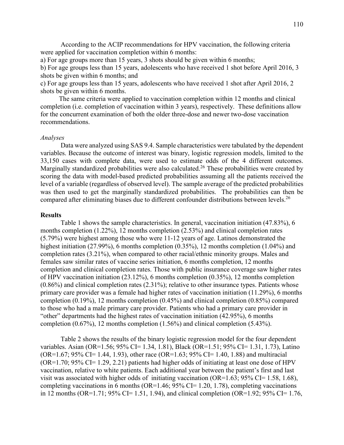According to the ACIP recommendations for HPV vaccination, the following criteria were applied for vaccination completion within 6 months:

a) For age groups more than 15 years, 3 shots should be given within 6 months;

b) For age groups less than 15 years, adolescents who have received 1 shot before April 2016, 3 shots be given within 6 months; and

c) For age groups less than 15 years, adolescents who have received 1 shot after April 2016, 2 shots be given within 6 months.

 The same criteria were applied to vaccination completion within 12 months and clinical completion (i.e. completion of vaccination within 3 years), respectively. These definitions allow for the concurrent examination of both the older three-dose and newer two-dose vaccination recommendations.

#### *Analyses*

Data were analyzed using SAS 9.4. Sample characteristics were tabulated by the dependent variables. Because the outcome of interest was binary, logistic regression models, limited to the 33,150 cases with complete data, were used to estimate odds of the 4 different outcomes. Marginally standardized probabilities were also calculated.<sup>26</sup> These probabilities were created by scoring the data with model-based predicted probabilities assuming all the patients received the level of a variable (regardless of observed level). The sample average of the predicted probabilities was then used to get the marginally standardized probabilities. The probabilities can then be compared after eliminating biases due to different confounder distributions between levels.<sup>26</sup>

#### **Results**

Table 1 shows the sample characteristics. In general, vaccination initiation (47.83%), 6 months completion (1.22%), 12 months completion (2.53%) and clinical completion rates (5.79%) were highest among those who were 11-12 years of age. Latinos demonstrated the highest initiation (27.99%), 6 months completion (0.35%), 12 months completion (1.04%) and completion rates (3.21%), when compared to other racial/ethnic minority groups. Males and females saw similar rates of vaccine series initiation, 6 months completion, 12 months completion and clinical completion rates. Those with public insurance coverage saw higher rates of HPV vaccination initiation (23.12%), 6 months completion (0.35%), 12 months completion  $(0.86\%)$  and clinical completion rates  $(2.31\%)$ ; relative to other insurance types. Patients whose primary care provider was a female had higher rates of vaccination initiation (11.29%), 6 months completion (0.19%), 12 months completion (0.45%) and clinical completion (0.85%) compared to those who had a male primary care provider. Patients who had a primary care provider in "other" departments had the highest rates of vaccination initiation (42.95%), 6 months completion (0.67%), 12 months completion (1.56%) and clinical completion (5.43%).

Table 2 shows the results of the binary logistic regression model for the four dependent variables. Asian (OR=1.56; 95% CI= 1.34, 1.81), Black (OR=1.51; 95% CI= 1.31, 1.73), Latino  $(OR=1.67; 95\% CI= 1.44, 1.93)$ , other race  $(OR=1.63; 95\% CI= 1.40, 1.88)$  and multiracial  $(OR=1.70; 95\% CI=1.29, 2.21)$  patients had higher odds of initiating at least one dose of HPV vaccination, relative to white patients. Each additional year between the patient's first and last visit was associated with higher odds of initiating vaccination (OR=1.63; 95% CI= 1.58, 1.68), completing vaccinations in 6 months (OR=1.46; 95% CI= 1.20, 1.78), completing vaccinations in 12 months (OR=1.71; 95% CI= 1.51, 1.94), and clinical completion (OR=1.92; 95% CI= 1.76,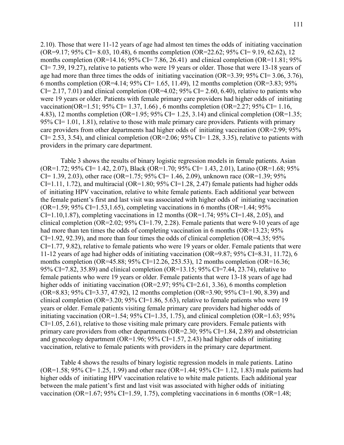2.10). Those that were 11-12 years of age had almost ten times the odds of initiating vaccination (OR=9.17; 95% CI= 8.03, 10.48), 6 months completion (OR=22.62; 95% CI= 9.19, 62.62), 12 months completion (OR=14.16; 95% CI= 7.86, 26.41) and clinical completion (OR=11.81; 95% CI= 7.39, 19.27), relative to patients who were 19 years or older. Those that were 13-18 years of age had more than three times the odds of initiating vaccination (OR=3.39;  $95\%$  CI= 3.06, 3.76), 6 months completion (OR=4.14; 95% CI= 1.65, 11.49), 12 months completion (OR=3.83; 95%  $CI = 2.17, 7.01$ ) and clinical completion (OR=4.02; 95% CI= 2.60, 6.40), relative to patients who were 19 years or older. Patients with female primary care providers had higher odds of initiating vaccination(OR=1.51; 95% CI= 1.37, 1.66) , 6 months completion (OR=2.27; 95% CI= 1.16, 4.83), 12 months completion (OR=1.95; 95% CI= 1.25, 3.14) and clinical completion (OR=1.35; 95% CI=  $1.01$ ,  $1.81$ ), relative to those with male primary care providers. Patients with primary care providers from other departments had higher odds of initiating vaccination (OR=2.99; 95%  $CI = 2.53, 3.54$ , and clinical completion (OR=2.06; 95% CI= 1.28, 3.35), relative to patients with providers in the primary care department.

Table 3 shows the results of binary logistic regression models in female patients. Asian (OR=1.72; 95% CI= 1.42, 2.07), Black (OR=1.70; 95% CI= 1.43, 2.01), Latino (OR=1.68; 95% CI= 1.39, 2.03), other race (OR=1.75; 95% CI= 1.46, 2.09), unknown race (OR=1.39; 95% CI=1.11, 1.72), and multiracial (OR=1.80;  $95\%$  CI=1.28, 2.47) female patients had higher odds of initiating HPV vaccination, relative to white female patients. Each additional year between the female patient's first and last visit was associated with higher odds of initiating vaccination (OR=1.59; 95% CI=1.53, 1.65), completing vaccinations in 6 months (OR=1.44; 95%)  $CI=1.10, 1.87$ , completing vaccinations in 12 months (OR=1.74; 95% CI=1.48, 2.05), and clinical completion (OR=2.02;  $95\%$  CI=1.79, 2.28). Female patients that were 9-10 years of age had more than ten times the odds of completing vaccination in 6 months (OR=13.23; 95%  $CI=1.92, 92.39$ ), and more than four times the odds of clinical completion (OR=4.35; 95%) CI=1.77, 9.82), relative to female patients who were 19 years or older. Female patients that were 11-12 years of age had higher odds of initiating vaccination (OR=9.87; 95% CI=8.31, 11.72), 6 months completion (OR=45.88; 95% CI=12.26, 253.53), 12 months completion (OR=16.36; 95% CI=7.82, 35.89) and clinical completion (OR=13.15; 95% CI=7.44, 23.74), relative to female patients who were 19 years or older. Female patients that were 13-18 years of age had higher odds of initiating vaccination (OR=2.97; 95% CI=2.61, 3.36), 6 months completion (OR=8.83; 95% CI=3.37, 47.92), 12 months completion (OR=3.90; 95% CI=1.90, 8.39) and clinical completion (OR=3.20; 95% CI=1.86, 5.63), relative to female patients who were 19 years or older. Female patients visiting female primary care providers had higher odds of initiating vaccination (OR=1.54;  $95\%$  CI=1.35, 1.75), and clinical completion (OR=1.63;  $95\%$ ) CI=1.05, 2.61), relative to those visiting male primary care providers. Female patients with primary care providers from other departments (OR=2.30; 95% CI=1.84, 2.89) and obstetrician and gynecology department (OR=1.96;  $95\%$  CI=1.57, 2.43) had higher odds of initiating vaccination, relative to female patients with providers in the primary care department.

Table 4 shows the results of binary logistic regression models in male patients. Latino  $(OR=1.58; 95\% CI= 1.25, 1.99)$  and other race  $(OR=1.44; 95\% CI= 1.12, 1.83)$  male patients had higher odds of initiating HPV vaccination relative to white male patients. Each additional year between the male patient's first and last visit was associated with higher odds of initiating vaccination (OR=1.67; 95% CI=1.59, 1.75), completing vaccinations in 6 months (OR=1.48;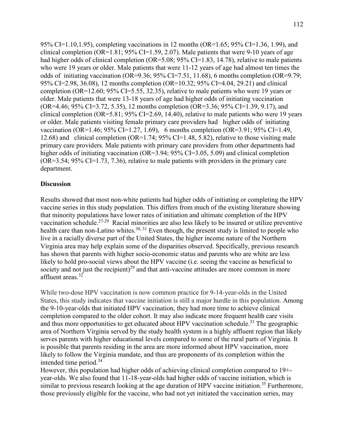95% CI=1.10,1.95), completing vaccinations in 12 months (OR=1.65; 95% CI=1.36, 1.99), and clinical completion (OR=1.81;  $95\%$  CI=1.59, 2.07). Male patients that were 9-10 years of age had higher odds of clinical completion (OR=5.08; 95% CI=1.83, 14.78), relative to male patients who were 19 years or older. Male patients that were 11-12 years of age had almost ten times the odds of initiating vaccination (OR=9.36;  $95\%$  CI=7.51, 11.68), 6 months completion (OR=9.79; 95% CI=2.98, 36.08), 12 months completion (OR=10.32; 95% CI=4.04, 29.21) and clinical completion (OR=12.60; 95% CI=5.55, 32.35), relative to male patients who were 19 years or older. Male patients that were 13-18 years of age had higher odds of initiating vaccination (OR=4.46; 95% CI=3.72, 5.35), 12 months completion (OR=3.36; 95% CI=1.39, 9.17), and clinical completion (OR=5.81;  $95\%$  CI=2.69, 14.40), relative to male patients who were 19 years or older. Male patients visiting female primary care providers had higher odds of initiating vaccination (OR=1.46; 95% CI=1.27, 1.69), 6 months completion (OR=3.91; 95% CI=1.49, 12.68) and clinical completion (OR=1.74; 95% CI=1.48, 5.82), relative to those visiting male primary care providers. Male patients with primary care providers from other departments had higher odds of initiating vaccination (OR=3.94; 95% CI=3.05, 5.09) and clinical completion (OR=3.54; 95% CI=1.73, 7.36), relative to male patients with providers in the primary care department.

#### **Discussion**

Results showed that most non-white patients had higher odds of initiating or completing the HPV vaccine series in this study population. This differs from much of the existing literature showing that minority populations have lower rates of initiation and ultimate completion of the HPV vaccination schedule.27-29 Racial minorities are also less likely to be insured or utilize preventive health care than non-Latino whites.<sup>30, 31</sup> Even though, the present study is limited to people who live in a racially diverse part of the United States, the higher income nature of the Northern Virginia area may help explain some of the disparities observed. Specifically, previous research has shown that parents with higher socio-economic status and parents who are white are less likely to hold pro-social views about the HPV vaccine (i.e. seeing the vaccine as beneficial to society and not just the recipient)<sup>29</sup> and that anti-vaccine attitudes are more common in more affluent areas.32

While two-dose HPV vaccination is now common practice for 9-14-year-olds in the United States, this study indicates that vaccine initiation is still a major hurdle in this population. Among the 9-10-year-olds that initiated HPV vaccination, they had more time to achieve clinical completion compared to the older cohort. It may also indicate more frequent health care visits and thus more opportunities to get educated about HPV vaccination schedule.<sup>33</sup> The geographic area of Northern Virginia served by the study health system is a highly affluent region that likely serves parents with higher educational levels compared to some of the rural parts of Virginia. It is possible that parents residing in the area are more informed about HPV vaccination, more likely to follow the Virginia mandate, and thus are proponents of its completion within the intended time period. $34$ 

However, this population had higher odds of achieving clinical completion compared to 19+ year-olds. We also found that 11-18-year-olds had higher odds of vaccine initiation, which is similar to previous research looking at the age duration of HPV vaccine initiation.<sup>35</sup> Furthermore, those previously eligible for the vaccine, who had not yet initiated the vaccination series, may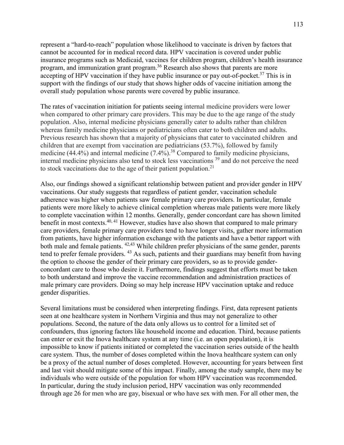represent a "hard-to-reach" population whose likelihood to vaccinate is driven by factors that cannot be accounted for in medical record data. HPV vaccination is covered under public insurance programs such as Medicaid, vaccines for children program, children's health insurance program, and immunization grant program.<sup>36</sup> Research also shows that parents are more accepting of HPV vaccination if they have public insurance or pay out-of-pocket.<sup>37</sup> This is in support with the findings of our study that shows higher odds of vaccine initiation among the overall study population whose parents were covered by public insurance.

The rates of vaccination initiation for patients seeing internal medicine providers were lower when compared to other primary care providers. This may be due to the age range of the study population. Also, internal medicine physicians generally cater to adults rather than children whereas family medicine physicians or pediatricians often cater to both children and adults. Previous research has shown that a majority of physicians that cater to vaccinated children and children that are exempt from vaccination are pediatricians (53.7%), followed by family medicine (44.4%) and internal medicine  $(7.4\%)$ .<sup>38</sup> Compared to family medicine physicians, internal medicine physicians also tend to stock less vaccinations 39 and do not perceive the need to stock vaccinations due to the age of their patient population.<sup>21</sup>

Also, our findings showed a significant relationship between patient and provider gender in HPV vaccinations. Our study suggests that regardless of patient gender, vaccination schedule adherence was higher when patients saw female primary care providers. In particular, female patients were more likely to achieve clinical completion whereas male patients were more likely to complete vaccination within 12 months. Generally, gender concordant care has shown limited benefit in most contexts.<sup>40, 41</sup> However, studies have also shown that compared to male primary care providers, female primary care providers tend to have longer visits, gather more information from patients, have higher information exchange with the patients and have a better rapport with both male and female patients. <sup>42,43</sup> While children prefer physicians of the same gender, parents tend to prefer female providers. 43 As such, patients and their guardians may benefit from having the option to choose the gender of their primary care providers, so as to provide genderconcordant care to those who desire it. Furthermore, findings suggest that efforts must be taken to both understand and improve the vaccine recommendation and administration practices of male primary care providers. Doing so may help increase HPV vaccination uptake and reduce gender disparities.

Several limitations must be considered when interpreting findings. First, data represent patients seen at one healthcare system in Northern Virginia and thus may not generalize to other populations. Second, the nature of the data only allows us to control for a limited set of confounders, thus ignoring factors like household income and education. Third, because patients can enter or exit the Inova healthcare system at any time (i.e. an open population), it is impossible to know if patients initiated or completed the vaccination series outside of the health care system. Thus, the number of doses completed within the Inova healthcare system can only be a proxy of the actual number of doses completed. However, accounting for years between first and last visit should mitigate some of this impact. Finally, among the study sample, there may be individuals who were outside of the population for whom HPV vaccination was recommended. In particular, during the study inclusion period, HPV vaccination was only recommended through age 26 for men who are gay, bisexual or who have sex with men. For all other men, the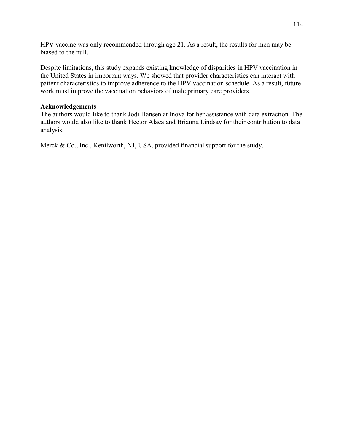HPV vaccine was only recommended through age 21. As a result, the results for men may be biased to the null.

Despite limitations, this study expands existing knowledge of disparities in HPV vaccination in the United States in important ways. We showed that provider characteristics can interact with patient characteristics to improve adherence to the HPV vaccination schedule. As a result, future work must improve the vaccination behaviors of male primary care providers.

## **Acknowledgements**

The authors would like to thank Jodi Hansen at Inova for her assistance with data extraction. The authors would also like to thank Hector Alaca and Brianna Lindsay for their contribution to data analysis.

Merck & Co., Inc., Kenilworth, NJ, USA, provided financial support for the study.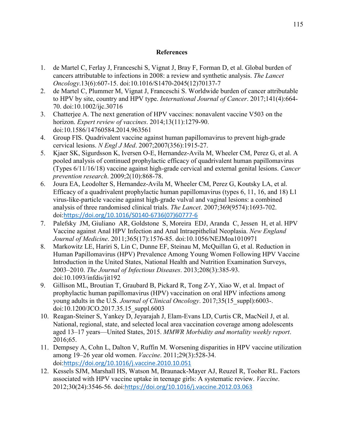#### **References**

- 1. de Martel C, Ferlay J, Franceschi S, Vignat J, Bray F, Forman D, et al. Global burden of cancers attributable to infections in 2008: a review and synthetic analysis. *The Lancet Oncology*.13(6):607-15. doi:10.1016/S1470-2045(12)70137-7
- 2. de Martel C, Plummer M, Vignat J, Franceschi S. Worldwide burden of cancer attributable to HPV by site, country and HPV type. *International Journal of Cancer*. 2017;141(4):664- 70. doi:10.1002/ijc.30716
- 3. Chatterjee A. The next generation of HPV vaccines: nonavalent vaccine V503 on the horizon. *Expert review of vaccines*. 2014;13(11):1279-90. doi:10.1586/14760584.2014.963561
- 4. Group FIS. Quadrivalent vaccine against human papillomavirus to prevent high-grade cervical lesions. *N Engl J Med*. 2007;2007(356):1915-27.
- 5. Kjaer SK, Sigurdsson K, Iversen O-E, Hernandez-Avila M, Wheeler CM, Perez G, et al. A pooled analysis of continued prophylactic efficacy of quadrivalent human papillomavirus (Types 6/11/16/18) vaccine against high-grade cervical and external genital lesions. *Cancer prevention research*. 2009;2(10):868-78.
- 6. Joura EA, Leodolter S, Hernandez-Avila M, Wheeler CM, Perez G, Koutsky LA, et al. Efficacy of a quadrivalent prophylactic human papillomavirus (types 6, 11, 16, and 18) L1 virus-like-particle vaccine against high-grade vulval and vaginal lesions: a combined analysis of three randomised clinical trials. *The Lancet*. 2007;369(9574):1693-702. doi:[https://doi.org/10.1016/S0140-6736\(07\)60777-6](https://doi.org/10.1016/S0140-6736(07)60777-6)
- 7. Palefsky JM, Giuliano AR, Goldstone S, Moreira EDJ, Aranda C, Jessen H, et al. HPV Vaccine against Anal HPV Infection and Anal Intraepithelial Neoplasia. *New England Journal of Medicine*. 2011;365(17):1576-85. doi:10.1056/NEJMoa1010971
- 8. Markowitz LE, Hariri S, Lin C, Dunne EF, Steinau M, McQuillan G, et al. Reduction in Human Papillomavirus (HPV) Prevalence Among Young Women Following HPV Vaccine Introduction in the United States, National Health and Nutrition Examination Surveys, 2003–2010. *The Journal of Infectious Diseases*. 2013;208(3):385-93. doi:10.1093/infdis/jit192
- 9. Gillison ML, Broutian T, Graubard B, Pickard R, Tong Z-Y, Xiao W, et al. Impact of prophylactic human papillomavirus (HPV) vaccination on oral HPV infections among young adults in the U.S. *Journal of Clinical Oncology*. 2017;35(15\_suppl):6003-. doi:10.1200/JCO.2017.35.15\_suppl.6003
- 10. Reagan-Steiner S, Yankey D, Jeyarajah J, Elam-Evans LD, Curtis CR, MacNeil J, et al. National, regional, state, and selected local area vaccination coverage among adolescents aged 13–17 years—United States, 2015. *MMWR Morbidity and mortality weekly report*. 2016;65.
- 11. Dempsey A, Cohn L, Dalton V, Ruffin M. Worsening disparities in HPV vaccine utilization among 19–26 year old women. *Vaccine*. 2011;29(3):528-34. doi:<https://doi.org/10.1016/j.vaccine.2010.10.051>
- 12. Kessels SJM, Marshall HS, Watson M, Braunack-Mayer AJ, Reuzel R, Tooher RL. Factors associated with HPV vaccine uptake in teenage girls: A systematic review. *Vaccine*. 2012;30(24):3546-56. doi:<https://doi.org/10.1016/j.vaccine.2012.03.063>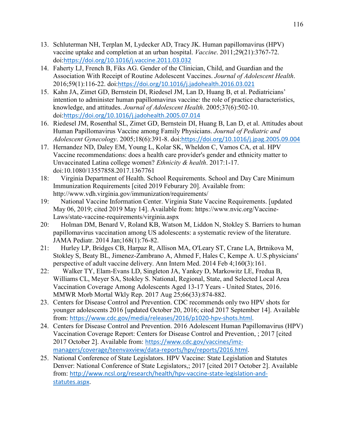- 13. Schluterman NH, Terplan M, Lydecker AD, Tracy JK. Human papillomavirus (HPV) vaccine uptake and completion at an urban hospital. *Vaccine*. 2011;29(21):3767-72. doi:<https://doi.org/10.1016/j.vaccine.2011.03.032>
- 14. Faherty LJ, French B, Fiks AG. Gender of the Clinician, Child, and Guardian and the Association With Receipt of Routine Adolescent Vaccines. *Journal of Adolescent Health*. 2016;59(1):116-22. doi:<https://doi.org/10.1016/j.jadohealth.2016.03.021>
- 15. Kahn JA, Zimet GD, Bernstein DI, Riedesel JM, Lan D, Huang B, et al. Pediatricians' intention to administer human papillomavirus vaccine: the role of practice characteristics, knowledge, and attitudes. *Journal of Adolescent Health*. 2005;37(6):502-10. doi:<https://doi.org/10.1016/j.jadohealth.2005.07.014>
- 16. Riedesel JM, Rosenthal SL, Zimet GD, Bernstein DI, Huang B, Lan D, et al. Attitudes about Human Papillomavirus Vaccine among Family Physicians. *Journal of Pediatric and Adolescent Gynecology*. 2005;18(6):391-8. doi:<https://doi.org/10.1016/j.jpag.2005.09.004>
- 17. Hernandez ND, Daley EM, Young L, Kolar SK, Wheldon C, Vamos CA, et al. HPV Vaccine recommendations: does a health care provider's gender and ethnicity matter to Unvaccinated Latina college women? *Ethnicity & health*. 2017:1-17. doi:10.1080/13557858.2017.1367761
- 18: Virginia Department of Health. School Requirements. School and Day Care Minimum Immunization Requirements [cited 2019 Feburary 20]. Available from: http://www.vdh.virginia.gov/immunization/requirements/
- 19: National Vaccine Information Center. Virginia State Vaccine Requirements. [updated May 06, 2019; cited 2019 May 14]. Available from: https://www.nvic.org/Vaccine-Laws/state-vaccine-requirements/virginia.aspx
- 20: Holman DM, Benard V, Roland KB, Watson M, Liddon N, Stokley S. Barriers to human papillomavirus vaccination among US adolescents: a systematic review of the literature. JAMA Pediatr. 2014 Jan;168(1):76-82.
- 21: Hurley LP, Bridges CB, Harpaz R, Allison MA, O'Leary ST, Crane LA, Brtnikova M, Stokley S, Beaty BL, Jimenez-Zambrano A, Ahmed F, Hales C, Kempe A. U.S.physicians' perspective of adult vaccine delivery. Ann Intern Med. 2014 Feb 4;160(3):161.
- 22: Walker TY, Elam-Evans LD, Singleton JA, Yankey D, Markowitz LE, Fredua B, Williams CL, Meyer SA, Stokley S. National, Regional, State, and Selected Local Area Vaccination Coverage Among Adolescents Aged 13-17 Years - United States, 2016. MMWR Morb Mortal Wkly Rep. 2017 Aug 25;66(33):874-882.
- 23. Centers for Disease Control and Prevention. CDC recommends only two HPV shots for younger adolescents 2016 [updated October 20, 2016; cited 2017 September 14]. Available from: <https://www.cdc.gov/media/releases/2016/p1020-hpv-shots.html>.
- 24. Centers for Disease Control and Prevention. 2016 Adolescent Human Papillomavirus (HPV) Vaccination Coverage Report: Centers for Disease Control and Prevention, ; 2017 [cited 2017 October 2]. Available from: [https://www.cdc.gov/vaccines/imz](https://www.cdc.gov/vaccines/imz-managers/coverage/teenvaxview/data-reports/hpv/reports/2016.html)[managers/coverage/teenvaxview/data-reports/hpv/reports/2016.html](https://www.cdc.gov/vaccines/imz-managers/coverage/teenvaxview/data-reports/hpv/reports/2016.html).
- 25. National Conference of State Legislators. HPV Vaccine: State Legislation and Statutes Denver: National Conference of State Legislators,; 2017 [cited 2017 October 2]. Available from: [http://www.ncsl.org/research/health/hpv-vaccine-state-legislation-and](http://www.ncsl.org/research/health/hpv-vaccine-state-legislation-and-statutes.aspx)[statutes.aspx](http://www.ncsl.org/research/health/hpv-vaccine-state-legislation-and-statutes.aspx).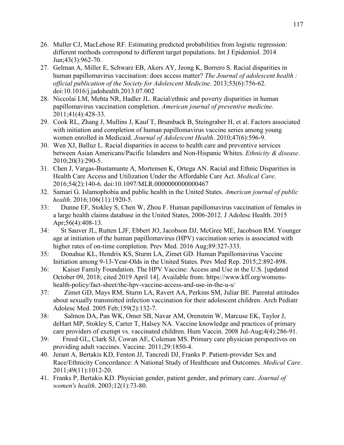- 26. Muller CJ, MacLehose RF. Estimating predicted probabilities from logistic regression: different methods correspond to different target populations. Int J Epidemiol. 2014 Jun;43(3):962-70.
- 27. Gelman A, Miller E, Schwarz EB, Akers AY, Jeong K, Borrero S. Racial disparities in human papillomavirus vaccination: does access matter? *The Journal of adolescent health : official publication of the Society for Adolescent Medicine*. 2013;53(6):756-62. doi:10.1016/j.jadohealth.2013.07.002
- 28. Niccolai LM, Mehta NR, Hadler JL. Racial/ethnic and poverty disparities in human papillomavirus vaccination completion. *American journal of preventive medicine*. 2011;41(4):428-33.
- 29. Cook RL, Zhang J, Mullins J, Kauf T, Brumback B, Steingraber H, et al. Factors associated with initiation and completion of human papillomavirus vaccine series among young women enrolled in Medicaid. *Journal of Adolescent Health*. 2010;47(6):596-9.
- 30. Wen XJ, Balluz L. Racial disparities in access to health care and preventive services between Asian Americans/Pacific Islanders and Non-Hispanic Whites. *Ethnicity & disease*. 2010;20(3):290-5.
- 31. Chen J, Vargas-Bustamante A, Mortensen K, Ortega AN. Racial and Ethnic Disparities in Health Care Access and Utilization Under the Affordable Care Act. *Medical Care*. 2016;54(2):140-6. doi:10.1097/MLR.0000000000000467
- 32. Samari G. Islamophobia and public health in the United States. *American journal of public health*. 2016;106(11):1920-5.
- 33: Dunne EF, Stokley S, Chen W, Zhou F. Human papillomavirus vaccination of females in a large health claims database in the United States, 2006-2012. J Adolesc Health. 2015 Apr; 56(4): 408-13.
- 34: St Sauver JL, Rutten LJF, Ebbert JO, Jacobson DJ, McGree ME, Jacobson RM. Younger age at initiation of the human papillomavirus (HPV) vaccination series is associated with higher rates of on-time completion. Prev Med. 2016 Aug:89:327-333.
- 35: Donahue KL, Hendrix KS, Sturm LA, Zimet GD. Human Papillomavirus Vaccine Initiation among 9-13-Year-Olds in the United States. Prev Med Rep. 2015;2:892-898.
- 36: Kaiser Family Foundation. The HPV Vaccine: Access and Use in the U.S. [updated October 09, 2018; cited 2019 April 14]. Available from: https://www.kff.org/womenshealth-policy/fact-sheet/the-hpv-vaccine-access-and-use-in-the-u-s/
- 37: Zimet GD, Mays RM, Sturm LA, Ravert AA, Perkins SM, Juliar BE. Parental attitudes about sexually transmitted infection vaccination for their adolescent children. Arch Pediatr Adolesc Med. 2005 Feb;159(2):132-7.
- 38: Salmon DA, Pan WK, Omer SB, Navar AM, Orenstein W, Marcuse EK, Taylor J, deHart MP, Stokley S, Carter T, Halsey NA. Vaccine knowledge and practices of primary care providers of exempt vs. vaccinated children. Hum Vaccin. 2008 Jul-Aug;4(4):286-91.
- 39: Freed GL, Clark SJ, Cowan AE, Coleman MS. Primary care physician perspectives on providing adult vaccines. Vaccine. 2011;29:1850-4.
- 40. Jerant A, Bertakis KD, Fenton JJ, Tancredi DJ, Franks P. Patient-provider Sex and Race/Ethnicity Concordance: A National Study of Healthcare and Outcomes. *Medical Care*. 2011;49(11):1012-20.
- 41. Franks P, Bertakis KD. Physician gender, patient gender, and primary care. *Journal of women's health*. 2003;12(1):73-80.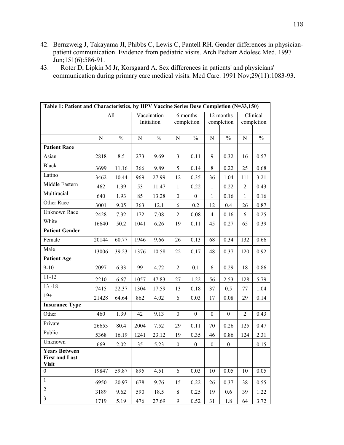- 42. Bernzweig J, Takayama JI, Phibbs C, Lewis C, Pantell RH. Gender differences in physicianpatient communication. Evidence from pediatric visits. Arch Pediatr Adolesc Med. 1997 Jun;151(6):586-91.
- 43. Roter D, Lipkin M Jr, Korsgaard A. Sex differences in patients' and physicians' communication during primary care medical visits. Med Care. 1991 Nov;29(11):1083-93.

| Table 1: Patient and Characteristics, by HPV Vaccine Series Dose Completion (N=33,150) |       |               |      |               |                  |                  |                  |                  |                |               |
|----------------------------------------------------------------------------------------|-------|---------------|------|---------------|------------------|------------------|------------------|------------------|----------------|---------------|
|                                                                                        |       | All           |      | Vaccination   |                  | 6 months         |                  | 12 months        |                | Clinical      |
|                                                                                        |       |               |      | Initiation    |                  | completion       |                  | completion       |                | completion    |
|                                                                                        |       |               |      |               |                  |                  |                  |                  |                |               |
|                                                                                        | N     | $\frac{0}{0}$ | N    | $\frac{0}{0}$ | N                | $\frac{0}{0}$    | N                | $\frac{0}{0}$    | N              | $\frac{0}{0}$ |
| <b>Patient Race</b>                                                                    |       |               |      |               |                  |                  |                  |                  |                |               |
| Asian                                                                                  | 2818  | 8.5           | 273  | 9.69          | $\overline{3}$   | 0.11             | 9                | 0.32             | 16             | 0.57          |
| <b>Black</b>                                                                           | 3699  | 11.16         | 366  | 9.89          | 5                | 0.14             | 8                | 0.22             | 25             | 0.68          |
| Latino                                                                                 | 3462  | 10.44         | 969  | 27.99         | 12               | 0.35             | 36               | 1.04             | 111            | 3.21          |
| Middle Eastern                                                                         | 462   | 1.39          | 53   | 11.47         | $\mathbf{1}$     | 0.22             | $\mathbf{1}$     | 0.22             | $\overline{2}$ | 0.43          |
| Multiracial                                                                            | 640   | 1.93          | 85   | 13.28         | $\mathbf{0}$     | $\overline{0}$   | $\mathbf{1}$     | 0.16             | $\mathbf{1}$   | 0.16          |
| Other Race                                                                             | 3001  | 9.05          | 363  | 12.1          | 6                | 0.2              | 12               | 0.4              | 26             | 0.87          |
| Unknown Race                                                                           | 2428  | 7.32          | 172  | 7.08          | $\overline{2}$   | 0.08             | $\overline{4}$   | 0.16             | 6              | 0.25          |
| White                                                                                  | 16640 | 50.2          | 1041 | 6.26          | 19               | 0.11             | 45               | 0.27             | 65             | 0.39          |
| <b>Patient Gender</b>                                                                  |       |               |      |               |                  |                  |                  |                  |                |               |
| Female                                                                                 | 20144 | 60.77         | 1946 | 9.66          | 26               | 0.13             | 68               | 0.34             | 132            | 0.66          |
| Male                                                                                   | 13006 | 39.23         | 1376 | 10.58         | 22               | 0.17             | 48               | 0.37             | 120            | 0.92          |
| <b>Patient Age</b>                                                                     |       |               |      |               |                  |                  |                  |                  |                |               |
| $9 - 10$                                                                               | 2097  | 6.33          | 99   | 4.72          | 2                | 0.1              | 6                | 0.29             | 18             | 0.86          |
| $11 - 12$                                                                              | 2210  | 6.67          | 1057 | 47.83         | 27               | 1.22             | 56               | 2.53             | 128            | 5.79          |
| $13 - 18$                                                                              | 7415  | 22.37         | 1304 | 17.59         | 13               | $0.18\,$         | 37               | 0.5              | 77             | 1.04          |
| $19+$                                                                                  | 21428 | 64.64         | 862  | 4.02          | 6                | 0.03             | 17               | $0.08\,$         | 29             | 0.14          |
| <b>Insurance Type</b>                                                                  |       |               |      |               |                  |                  |                  |                  |                |               |
| Other                                                                                  | 460   | 1.39          | 42   | 9.13          | $\overline{0}$   | $\boldsymbol{0}$ | $\overline{0}$   | $\boldsymbol{0}$ | 2              | 0.43          |
| Private                                                                                | 26653 | 80.4          | 2004 | 7.52          | 29               | 0.11             | 70               | 0.26             | 125            | 0.47          |
| Public                                                                                 | 5368  | 16.19         | 1241 | 23.12         | 19               | 0.35             | 46               | 0.86             | 124            | 2.31          |
| Unknown                                                                                | 669   | 2.02          | 35   | 5.23          | $\boldsymbol{0}$ | $\boldsymbol{0}$ | $\boldsymbol{0}$ | $\boldsymbol{0}$ | 1              | 0.15          |
| <b>Years Between</b><br><b>First and Last</b><br><b>Visit</b>                          |       |               |      |               |                  |                  |                  |                  |                |               |
| $\mathbf{0}$                                                                           | 19847 | 59.87         | 895  | 4.51          | 6                | 0.03             | 10               | 0.05             | 10             | 0.05          |
| $\mathbf{1}$                                                                           | 6950  | 20.97         | 678  | 9.76          | 15               | 0.22             | 26               | 0.37             | 38             | 0.55          |
| $\overline{2}$                                                                         | 3189  | 9.62          | 590  | 18.5          | $8\,$            | 0.25             | 19               | 0.6              | 39             | 1.22          |
| $\overline{3}$                                                                         | 1719  | 5.19          | 476  | 27.69         | 9                | 0.52             | 31               | 1.8              | 64             | 3.72          |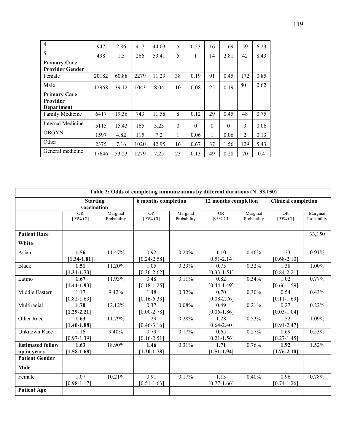| $\overline{4}$         | 947   | 2.86  | 417  | 44.03 | 5        | 0.53     | 16       | 1.69     | 59  | 6.23 |
|------------------------|-------|-------|------|-------|----------|----------|----------|----------|-----|------|
| 5                      | 498   | 1.5   | 266  | 53.41 | 5        | 1        | 14       | 2.81     | 42  | 8.43 |
| <b>Primary Care</b>    |       |       |      |       |          |          |          |          |     |      |
| <b>Provider Gender</b> |       |       |      |       |          |          |          |          |     |      |
| Female                 | 20182 | 60.88 | 2279 | 11.29 | 38       | 0.19     | 91       | 0.45     | 172 | 0.85 |
| Male                   | 12968 | 39.12 | 1043 | 8.04  | 10       | 0.08     | 25       | 0.19     | 80  | 0.62 |
| <b>Primary Care</b>    |       |       |      |       |          |          |          |          |     |      |
| <b>Provider</b>        |       |       |      |       |          |          |          |          |     |      |
| Department             |       |       |      |       |          |          |          |          |     |      |
| Family Medicine        | 6417  | 19.36 | 743  | 11.58 | 8        | 0.12     | 29       | 0.45     | 48  | 0.75 |
| Internal Medicine      | 5115  | 15.43 | 165  | 3.23  | $\theta$ | $\theta$ | $\theta$ | $\Omega$ | 3   | 0.06 |
| <b>OBGYN</b>           | 1597  | 4.82  | 115  | 7.2   | 1        | 0.06     | 1        | 0.06     | 2   | 0.13 |
| Other                  | 2375  | 7.16  | 1020 | 42.95 | 16       | 0.67     | 37       | 1.56     | 129 | 5.43 |
| General medicine       | 17646 | 53.23 | 1279 | 7.25  | 23       | 0.13     | 49       | 0.28     | 70  | 0.4  |

|                         |                 |             |                     |             | Table 2: Odds of completing immunizations by different durations (N=33,150) |             |                            |             |
|-------------------------|-----------------|-------------|---------------------|-------------|-----------------------------------------------------------------------------|-------------|----------------------------|-------------|
|                         | <b>Starting</b> |             | 6 months completion |             | 12 months completion                                                        |             | <b>Clinical completion</b> |             |
|                         | vaccination     |             |                     |             |                                                                             |             |                            |             |
|                         | <b>OR</b>       | Marginal    | <b>OR</b>           | Marginal    | <b>OR</b>                                                                   | Marginal    | <b>OR</b>                  | Marginal    |
|                         | [ $95\%$ CI]    | Probability | [95% CI]            | Probability | [95% CI]                                                                    | Probability | $[95%$ CI]                 | Probability |
|                         |                 |             |                     |             |                                                                             |             |                            |             |
| <b>Patient Race</b>     |                 |             |                     |             |                                                                             |             |                            | 33,150      |
| White                   |                 |             |                     |             |                                                                             |             |                            |             |
| Asian                   | 1.56            | 11.47%      | 0.92                | 0.20%       | 1.10                                                                        | 0.46%       | 1.23                       | 0.91%       |
|                         | $[1.34 - 1.81]$ |             | $[0.24 - 2.58]$     |             | $[0.51 - 2.14]$                                                             |             | $[0.68 - 2.10]$            |             |
| <b>Black</b>            | 1.51            | 11.20%      | 1.05                | 0.23%       | 0.75                                                                        | 0.32%       | 1.38                       | 1.00%       |
|                         | $[1.31 - 1.73]$ |             | $[0.36 - 2.62]$     |             | $[0.33 - 1.51]$                                                             |             | $[0.84 - 2.21]$            |             |
| Latino                  | 1.67            | 11.93%      | 0.48                | 0.11%       | 0.82                                                                        | 0.34%       | 1.02                       | 0.77%       |
|                         | $[1.44 - 1.93]$ |             | $[0.18 - 1.25]$     |             | $[0.44 - 1.49]$                                                             |             | $[0.66 - 1.59]$            |             |
| Middle Eastern          | 1.17            | 9.42%       | 1.48                | 0.32%       | 0.70                                                                        | 0.30%       | 0.54                       | 0.43%       |
|                         | $[0.82 - 1.63]$ |             | $[0.16 - 6.33]$     |             | $[0.08 - 2.76]$                                                             |             | $[0.11 - 1.69]$            |             |
| Multiracial             | 1.70            | 12.12%      | 0.37                | 0.08%       | 0.49                                                                        | 0.21%       | 0.27                       | 0.22%       |
|                         | $[1.29 - 2.21]$ |             | $[0.00 - 2.78]$     |             | $[0.06 - 1.86]$                                                             |             | $[0.03 - 1.04]$            |             |
| Other Race              | 1.63            | 11.79%      | 1.29                | 0.28%       | 1.28                                                                        | 0.53%       | 1.52                       | 1.09%       |
|                         | $[1.40 - 1.88]$ |             | $[0.46 - 3.16]$     |             | $[0.64 - 2.40]$                                                             |             | $[0.91 - 2.47]$            |             |
| <b>Unknown Race</b>     | 1.16            | 9.40%       | 0.79                | 0.17%       | 0.65                                                                        | 0.27%       | 0.69                       | 0.53%       |
|                         | $[0.97 - 1.39]$ |             | $[0.16 - 2.51]$     |             | $[0.21 - 1.56]$                                                             |             | $[0.27 - 1.45]$            |             |
| <b>Estimated follow</b> | 1.63            | 18.90%      | 1.46                | 0.31%       | 1.71                                                                        | 0.76%       | 1.92                       | 1.52%       |
| up in years             | $[1.58 - 1.68]$ |             | $[1.20 - 1.78]$     |             | $[1.51 - 1.94]$                                                             |             | $[1.76 - 2.10]$            |             |
| <b>Patient Gender</b>   |                 |             |                     |             |                                                                             |             |                            |             |
| Male                    |                 |             |                     |             |                                                                             |             |                            |             |
| Female                  | 1.07            | 10.21%      | 0.91                | 0.17%       | 1.13                                                                        | 0.40%       | 0.96                       | 0.78%       |
|                         | $[0.98 - 1.17]$ |             | $[0.51 - 1.63]$     |             | $[0.77-1.66]$                                                               |             | $[0.74 - 1.26]$            |             |
| <b>Patient Age</b>      |                 |             |                     |             |                                                                             |             |                            |             |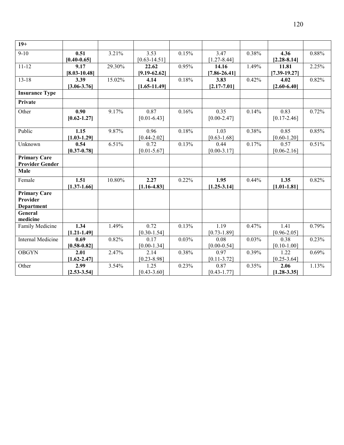| $19+$                                                |                                      |        |                           |       |                           |       |                                      |       |
|------------------------------------------------------|--------------------------------------|--------|---------------------------|-------|---------------------------|-------|--------------------------------------|-------|
| $9 - 10$                                             | 0.51<br>$[0.40 - 0.65]$              | 3.21%  | 3.53<br>$[0.63 - 14.51]$  | 0.15% | 3.47<br>$[1.27 - 8.44]$   | 0.38% | 4.36<br>$[2.28 - 8.14]$              | 0.88% |
| $11 - 12$                                            | 9.17<br>$[8.03 - 10.48]$             | 29.30% | 22.62<br>$[9.19 - 62.62]$ | 0.95% | 14.16<br>$[7.86 - 26.41]$ | 1.49% | 11.81<br>$[7.39 - 19.27]$            | 2.25% |
| $13 - 18$                                            | 3.39<br>$[3.06 - 3.76]$              | 15.02% | 4.14<br>$[1.65 - 11.49]$  | 0.18% | 3.83<br>$[2.17 - 7.01]$   | 0.42% | 4.02<br>$[2.60 - 6.40]$              | 0.82% |
| <b>Insurance Type</b>                                |                                      |        |                           |       |                           |       |                                      |       |
| Private                                              |                                      |        |                           |       |                           |       |                                      |       |
| Other                                                | $\overline{0.90}$<br>$[0.62 - 1.27]$ | 9.17%  | 0.87<br>$[0.01 - 6.43]$   | 0.16% | 0.35<br>$[0.00 - 2.47]$   | 0.14% | 0.83<br>$[0.17 - 2.46]$              | 0.72% |
| Public                                               | 1.15<br>$[1.03 - 1.29]$              | 9.87%  | 0.96<br>$[0.44 - 2.02]$   | 0.18% | 1.03<br>$[0.63 - 1.68]$   | 0.38% | 0.85<br>$[0.60 - 1.20]$              | 0.85% |
| Unknown                                              | 0.54<br>$[0.37 - 0.78]$              | 6.51%  | 0.72<br>$[0.01 - 5.67]$   | 0.13% | 0.44<br>$[0.00 - 3.17]$   | 0.17% | 0.57<br>$[0.06 - 2.16]$              | 0.51% |
| <b>Primary Care</b><br><b>Provider Gender</b>        |                                      |        |                           |       |                           |       |                                      |       |
| Male                                                 |                                      |        |                           |       |                           |       |                                      |       |
| Female                                               | 1.51<br>$[1.37-1.66]$                | 10.80% | 2.27<br>$[1.16 - 4.83]$   | 0.22% | 1.95<br>$[1.25 - 3.14]$   | 0.44% | 1.35<br>$[1.01 - 1.81]$              | 0.82% |
| <b>Primary Care</b><br>Provider<br><b>Department</b> |                                      |        |                           |       |                           |       |                                      |       |
| General<br>medicine                                  |                                      |        |                           |       |                           |       |                                      |       |
| Family Medicine                                      | 1.34<br>$[1.21 - 1.49]$              | 1.49%  | 0.72<br>$[0.30 - 1.54]$   | 0.13% | 1.19<br>$[0.73 - 1.89]$   | 0.47% | $\overline{1.41}$<br>$[0.96 - 2.05]$ | 0.79% |
| Internal Medicine                                    | 0.69<br>$[0.58 - 0.82]$              | 0.82%  | 0.17<br>$[0.00 - 1.34]$   | 0.03% | 0.08<br>$[0.00 - 0.54]$   | 0.03% | 0.38<br>$[0.10 - 1.00]$              | 0.23% |
| <b>OBGYN</b>                                         | 2.01<br>$[1.62 - 2.47]$              | 2.47%  | 2.14<br>$[0.23 - 8.98]$   | 0.38% | 0.97<br>$[0.11 - 3.72]$   | 0.39% | 1.22<br>$[0.25 - 3.64]$              | 0.69% |
| Other                                                | 2.99<br>$[2.53 - 3.54]$              | 3.54%  | 1.25<br>$[0.43 - 3.60]$   | 0.23% | 0.87<br>$[0.43 - 1.77]$   | 0.35% | 2.06<br>$[1.28 - 3.35]$              | 1.13% |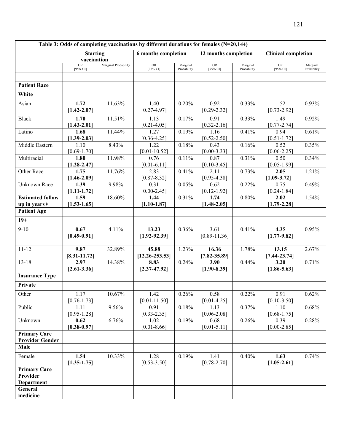|                                                  |                         |                      | Table 3: Odds of completing vaccinations by different durations for females (N=20,144) |                         |                         |                         |                            |                         |
|--------------------------------------------------|-------------------------|----------------------|----------------------------------------------------------------------------------------|-------------------------|-------------------------|-------------------------|----------------------------|-------------------------|
|                                                  | <b>Starting</b>         |                      | <b>6</b> months completion                                                             |                         | 12 months completion    |                         | <b>Clinical completion</b> |                         |
|                                                  | vaccination             |                      |                                                                                        |                         |                         |                         |                            |                         |
|                                                  | ${\rm OR}$<br>[95% CI]  | Marginal Probability | OR<br>[95% CI]                                                                         | Marginal<br>Probability | OR<br>$[95\%$ CI]       | Marginal<br>Probability | <b>OR</b><br>[95% CI]      | Marginal<br>Probability |
|                                                  |                         |                      |                                                                                        |                         |                         |                         |                            |                         |
| <b>Patient Race</b>                              |                         |                      |                                                                                        |                         |                         |                         |                            |                         |
| White                                            |                         |                      |                                                                                        |                         |                         |                         |                            |                         |
|                                                  |                         |                      |                                                                                        |                         |                         |                         |                            |                         |
| Asian                                            | 1.72                    | 11.63%               | 1.40<br>$[0.27 - 4.97]$                                                                | 0.20%                   | 0.92                    | 0.33%                   | 1.52                       | 0.93%                   |
|                                                  | $[1.42 - 2.07]$         |                      |                                                                                        |                         | $[0.29 - 2.32]$         |                         | $[0.73 - 2.92]$            |                         |
| <b>Black</b>                                     | 1.70                    | 11.51%               | 1.13                                                                                   | 0.17%                   | 0.91                    | 0.33%                   | 1.49                       | 0.92%                   |
| Latino                                           | $[1.43 - 2.01]$<br>1.68 | 11.44%               | $[0.21 - 4.05]$<br>1.27                                                                | 0.19%                   | $[0.32 - 2.16]$<br>1.16 | 0.41%                   | $[0.77 - 2.74]$<br>0.94    | 0.61%                   |
|                                                  | $[1.39-2.03]$           |                      | $[0.36 - 4.25]$                                                                        |                         | $[0.52 - 2.50]$         |                         | $[0.51 - 1.72]$            |                         |
| Middle Eastern                                   | 1.10                    | 8.43%                | 1.22                                                                                   | 0.18%                   | 0.43                    | 0.16%                   | 0.52                       | 0.35%                   |
|                                                  | $[0.69 - 1.70]$         |                      | $[0.01 - 10.52]$                                                                       |                         | $[0.00 - 3.33]$         |                         | $[0.06 - 2.25]$            |                         |
| Multiracial                                      | 1.80                    | 11.98%               | 0.76                                                                                   | 0.11%                   | 0.87                    | 0.31%                   | 0.50                       | 0.34%                   |
|                                                  | $[1.28 - 2.47]$         |                      | $[0.01 - 6.11]$                                                                        |                         | $[0.10 - 3.45]$         |                         | $[0.05 - 1.99]$            |                         |
| Other Race                                       | 1.75                    | 11.76%               | 2.83                                                                                   | 0.41%                   | 2.11                    | 0.73%                   | 2.05                       | 1.21%                   |
|                                                  | $[1.46 - 2.09]$         |                      | $[0.87 - 8.32]$                                                                        |                         | $[0.95 - 4.38]$         |                         | $[1.09 - 3.72]$            |                         |
| <b>Unknown Race</b>                              | 1.39                    | 9.98%                | 0.31                                                                                   | 0.05%                   | 0.62                    | 0.22%                   | 0.75                       | 0.49%                   |
|                                                  | $[1.11 - 1.72]$         |                      | $[0.00 - 2.45]$<br>1.44                                                                |                         | $[0.12 - 1.92]$<br>1.74 |                         | $[0.24 - 1.84]$            |                         |
| <b>Estimated follow</b><br>up in years $\dagger$ | 1.59<br>$[1.53 - 1.65]$ | 18.60%               | $[1.10 - 1.87]$                                                                        | 0.31%                   | $[1.48 - 2.05]$         | 0.80%                   | 2.02<br>$[1.79-2.28]$      | 1.54%                   |
| <b>Patient Age</b>                               |                         |                      |                                                                                        |                         |                         |                         |                            |                         |
|                                                  |                         |                      |                                                                                        |                         |                         |                         |                            |                         |
| $19+$                                            |                         |                      |                                                                                        |                         |                         |                         |                            |                         |
| $9 - 10$                                         | 0.67                    | 4.11%                | 13.23                                                                                  | 0.36%                   | 3.61                    | 0.41%                   | 4.35                       | 0.95%                   |
|                                                  | $[0.49 - 0.91]$         |                      | $[1.92 - 92.39]$                                                                       |                         | $[0.89 - 11.36]$        |                         | $[1.77 - 9.82]$            |                         |
| $11 - 12$                                        | 9.87                    | 32.89%               | 45.88                                                                                  | 1.23%                   | 16.36                   | 1.78%                   | 13.15                      | 2.67%                   |
|                                                  | $[8.31 - 11.72]$        |                      | $[12.26 - 253.53]$                                                                     |                         | $[7.82 - 35.89]$        |                         | $[7.44 - 23.74]$           |                         |
| $13 - 18$                                        | 2.97                    | 14.38%               | 8.83                                                                                   | 0.24%                   | 3.90                    | 0.44%                   | 3.20                       | 0.71%                   |
|                                                  | $[2.61 - 3.36]$         |                      | $[2.37 - 47.92]$                                                                       |                         | $[1.90 - 8.39]$         |                         | $[1.86 - 5.63]$            |                         |
| <b>Insurance Type</b>                            |                         |                      |                                                                                        |                         |                         |                         |                            |                         |
| Private                                          |                         |                      |                                                                                        |                         |                         |                         |                            |                         |
| Other                                            | 1.17                    | 10.67%               | 1.42                                                                                   | 0.26%                   | 0.58                    | 0.22%                   | 0.91                       | 0.62%                   |
|                                                  | $[0.76 - 1.73]$         |                      | $[0.01 - 11.50]$                                                                       |                         | $[0.01 - 4.25]$         |                         | $[0.10 - 3.50]$            |                         |
| Public                                           | 1.11                    | 9.56%                | 0.91                                                                                   | 0.18%                   | 1.13                    | 0.37%                   | 1.10                       | 0.68%                   |
|                                                  | $[0.95 - 1.28]$         |                      | $[0.33 - 2.35]$                                                                        |                         | $[0.06 - 2.08]$         |                         | $[0.68 - 1.75]$            |                         |
| Unknown                                          | 0.62                    | 6.76%                | 1.02                                                                                   | 0.19%                   | 0.68                    | 0.26%                   | 0.39                       | 0.28%                   |
|                                                  | $[0.38 - 0.97]$         |                      | $[0.01 - 8.66]$                                                                        |                         | $[0.01 - 5.11]$         |                         | $[0.00 - 2.85]$            |                         |
| <b>Primary Care</b>                              |                         |                      |                                                                                        |                         |                         |                         |                            |                         |
| <b>Provider Gender</b>                           |                         |                      |                                                                                        |                         |                         |                         |                            |                         |
| Male                                             |                         |                      |                                                                                        |                         |                         |                         |                            |                         |
| Female                                           | 1.54                    | 10.33%               | 1.28                                                                                   | 0.19%                   | 1.41                    | 0.40%                   | 1.63                       | 0.74%                   |
|                                                  | $[1.35 - 1.75]$         |                      | $[0.53 - 3.50]$                                                                        |                         | $[0.78 - 2.70]$         |                         | $[1.05-2.61]$              |                         |
| <b>Primary Care</b><br>Provider                  |                         |                      |                                                                                        |                         |                         |                         |                            |                         |
| <b>Department</b>                                |                         |                      |                                                                                        |                         |                         |                         |                            |                         |
| General                                          |                         |                      |                                                                                        |                         |                         |                         |                            |                         |
| medicine                                         |                         |                      |                                                                                        |                         |                         |                         |                            |                         |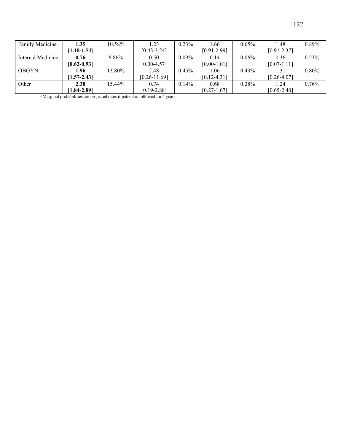| Family Medicine   | 1.35            | 10.58%   | . 23             | $0.23\%$ | 1.66            | $0.65\%$ | 1.48            | $0.89\%$ |
|-------------------|-----------------|----------|------------------|----------|-----------------|----------|-----------------|----------|
|                   | $[1.18 - 1.54]$ |          | $[0.43 - 3.24]$  |          | $[0.91 - 2.99]$ |          | $[0.91 - 2.37]$ |          |
| Internal Medicine | 0.76            | $6.86\%$ | 0.50             | $0.09\%$ | 0.14            | $0.06\%$ | 0.36            | 0.23%    |
|                   | $[0.62 - 0.93]$ |          | $[0.00 - 4.57]$  |          | $[0.00 - 1.01]$ |          | $[0.07 - 1.11]$ |          |
| <b>OBGYN</b>      | 1.96            | 13.80%   | 2.48             | $0.45\%$ | 1.06            | $0.43\%$ | 1.31            | $0.80\%$ |
|                   | $[1.57 - 2.43]$ |          | $[0.26 - 11.69]$ |          | $[0.12 - 4.31]$ |          | $[0.26 - 4.07]$ |          |
| Other             | 2.30            | 15.44%   | 0.74             | 0.14%    | 0.68            | 0.28%    | 1.24            | $0.76\%$ |
|                   | 1.84-2.891      |          | $[0.19 - 2.88]$  |          | $[0.27 - 1.67]$ |          | $[0.65 - 2.40]$ |          |

ǂ Marginal probabilities are projected rates if patient is followed for 4 years.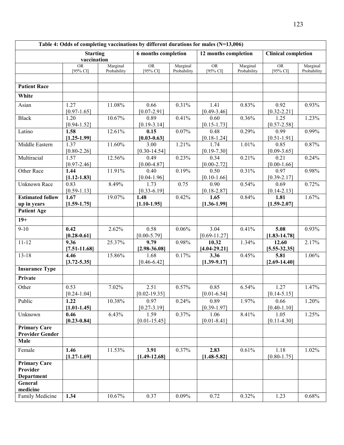|                                   |                          |             | Table 4: Odds of completing vaccinations by different durations for males (N=13,006) |             |                         |             |                            |             |
|-----------------------------------|--------------------------|-------------|--------------------------------------------------------------------------------------|-------------|-------------------------|-------------|----------------------------|-------------|
|                                   | <b>Starting</b>          |             | <b>6</b> months completion                                                           |             | 12 months completion    |             | <b>Clinical completion</b> |             |
|                                   | vaccination<br><b>OR</b> | Marginal    | <b>OR</b>                                                                            | Marginal    | <b>OR</b>               | Marginal    | OR                         | Marginal    |
|                                   | [95% CI]                 | Probability | $[95\%$ CI]                                                                          | Probability | [ $95\%$ CI]            | Probability | [ $95\%$ CI]               | Probability |
|                                   |                          |             |                                                                                      |             |                         |             |                            |             |
| <b>Patient Race</b>               |                          |             |                                                                                      |             |                         |             |                            |             |
|                                   |                          |             |                                                                                      |             |                         |             |                            |             |
| White                             |                          |             |                                                                                      |             |                         |             |                            |             |
| Asian                             | 1.27                     | 11.08%      | 0.66                                                                                 | 0.31%       | 1.41                    | 0.83%       | 0.92                       | 0.93%       |
|                                   | $[0.97 - 1.65]$          |             | $[0.07 - 2.91]$                                                                      |             | $[0.49 - 3.46]$         |             | $[0.32 - 2.21]$            |             |
| <b>Black</b>                      | 1.20                     | 10.67%      | 0.89                                                                                 | 0.41%       | 0.60                    | 0.36%       | 1.25                       | 1.23%       |
| Latino                            | $[0.94 - 1.52]$<br>1.58  | 12.61%      | $[0.19 - 3.14]$<br>0.15                                                              | 0.07%       | $[0.15 - 1.73]$<br>0.48 | 0.29%       | $[0.57 - 2.58]$<br>0.99    | 0.99%       |
|                                   | $[1.25 - 1.99]$          |             | $[0.03 - 0.63]$                                                                      |             | $[0.18 - 1.24]$         |             | $[0.51 - 1.91]$            |             |
| Middle Eastern                    | 1.37                     | 11.60%      | 3.00                                                                                 | 1.21%       | 1.74                    | 1.01%       | 0.85                       | 0.87%       |
|                                   | $[0.80 - 2.26]$          |             | $[0.30 - 14.54]$                                                                     |             | $[0.19 - 7.30]$         |             | $[0.09 - 3.65]$            |             |
| Multiracial                       | 1.57                     | 12.56%      | 0.49                                                                                 | 0.23%       | 0.34                    | 0.21%       | 0.21                       | 0.24%       |
|                                   | $[0.97 - 2.46]$          |             | $[0.00 - 4.87]$                                                                      |             | $[0.00 - 2.72]$         |             | $[0.00 - 1.66]$            |             |
| Other Race                        | 1.44                     | 11.91%      | 0.40                                                                                 | 0.19%       | 0.50                    | 0.31%       | 0.97                       | 0.98%       |
|                                   | $[1.12 - 1.83]$          |             | $[0.04 - 1.96]$                                                                      |             | $[0.10 - 1.66]$         |             | $[0.39 - 2.17]$            |             |
| <b>Unknown Race</b>               | 0.83                     | 8.49%       | 1.73                                                                                 | 0.75        | 0.90                    | 0.54%       | 0.69                       | 0.72%       |
|                                   | $[0.59 - 1.13]$          |             | $[0.33 - 6.19]$                                                                      |             | $[0.18 - 2.87]$         |             | $[0.14 - 2.13]$            |             |
| <b>Estimated follow</b>           | 1.67                     | 19.07%      | 1.48                                                                                 | 0.42%       | 1.65                    | 0.84%       | 1.81                       | 1.67%       |
| up in years<br><b>Patient Age</b> | $[1.59 - 1.75]$          |             | $[1.10-1.95]$                                                                        |             | $[1.36 - 1.99]$         |             | $[1.59 - 2.07]$            |             |
|                                   |                          |             |                                                                                      |             |                         |             |                            |             |
| $19+$                             |                          |             |                                                                                      |             |                         |             |                            |             |
| $9 - 10$                          | 0.42                     | 2.62%       | 0.58                                                                                 | 0.06%       | 3.04                    | 0.41%       | 5.08                       | 0.93%       |
|                                   | $[0.28 - 0.61]$          |             | $[0.00 - 5.79]$                                                                      |             | $[0.69 - 11.27]$        |             | $[1.83 - 14.78]$           |             |
| $11 - 12$                         | 9.36                     | 25.37%      | 9.79                                                                                 | 0.98%       | 10.32                   | 1.34%       | 12.60                      | 2.17%       |
|                                   | $[7.51 - 11.68]$         |             | $[2.98 - 36.08]$                                                                     |             | $[4.04 - 29.21]$        |             | $[5.55 - 32.35]$           |             |
| $13 - 18$                         | 4.46                     | 15.86%      | 1.68                                                                                 | 0.17%       | 3.36                    | 0.45%       | 5.81                       | 1.06%       |
|                                   | $[3.72 - 5.35]$          |             | $[0.46 - 6.42]$                                                                      |             | $[1.39 - 9.17]$         |             | $[2.69 - 14.40]$           |             |
| <b>Insurance Type</b>             |                          |             |                                                                                      |             |                         |             |                            |             |
| Private                           |                          |             |                                                                                      |             |                         |             |                            |             |
| Other                             | 0.53                     | 7.02%       | 2.51                                                                                 | 0.57%       | 0.85                    | 6.54%       | 1.27                       | 1.47%       |
|                                   | $[0.24 - 1.04]$          |             | $[0.02 - 19.35]$                                                                     |             | $[0.01 - 6.54]$         |             | $[0.14 - 5.15]$            |             |
| Public                            | 1.22                     | 10.38%      | 0.97                                                                                 | 0.24%       | 0.89                    | 1.97%       | 0.66                       | 1.20%       |
|                                   | $[1.01 - 1.45]$          |             | $[0.27 - 3.19]$                                                                      |             | $[0.39 - 1.97]$         |             | $[0.40 - 1.10]$            |             |
| Unknown                           | 0.46                     | 6.43%       | 1.59                                                                                 | 0.37%       | 1.06                    | 8.41%       | 1.05                       | 1.25%       |
|                                   | $[0.23 - 0.84]$          |             | $[0.01 - 15.45]$                                                                     |             | $[0.01 - 8.41]$         |             | $[0.11 - 4.30]$            |             |
| <b>Primary Care</b>               |                          |             |                                                                                      |             |                         |             |                            |             |
| <b>Provider Gender</b><br>Male    |                          |             |                                                                                      |             |                         |             |                            |             |
|                                   |                          |             |                                                                                      |             |                         |             |                            |             |
| Female                            | 1.46                     | 11.53%      | 3.91                                                                                 | 0.37%       | 2.83                    | 0.61%       | 1.18                       | 1.02%       |
|                                   | $[1.27 - 1.69]$          |             | $[1.49 - 12.68]$                                                                     |             | $[1.48 - 5.82]$         |             | $[0.80 - 1.75]$            |             |
| <b>Primary Care</b><br>Provider   |                          |             |                                                                                      |             |                         |             |                            |             |
| <b>Department</b>                 |                          |             |                                                                                      |             |                         |             |                            |             |
| General                           |                          |             |                                                                                      |             |                         |             |                            |             |
| medicine                          |                          |             |                                                                                      |             |                         |             |                            |             |
| Family Medicine                   | 1.34                     | 10.67%      | 0.37                                                                                 | 0.09%       | 0.72                    | 0.32%       | 1.23                       | 0.68%       |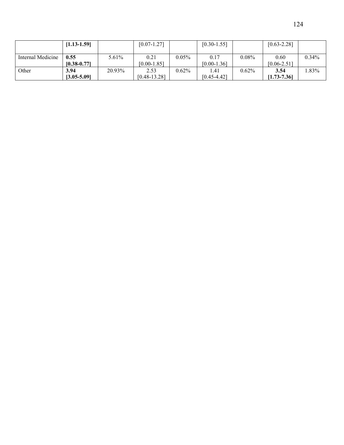| 124 |
|-----|
|     |

|                   | $[1.13 - 1.59]$         |        | $[0.07 - 1.27]$          |          | $[0.30 - 1.55]$         |          | $[0.63 - 2.28]$         |          |
|-------------------|-------------------------|--------|--------------------------|----------|-------------------------|----------|-------------------------|----------|
| Internal Medicine | 0.55<br>$[0.38 - 0.77]$ | 5.61%  | 0.21<br>$[0.00 - 1.85]$  | $0.05\%$ | 0.17<br>$[0.00 - 1.36]$ | $0.08\%$ | 0.60<br>$[0.06 - 2.51]$ | $0.34\%$ |
| Other             | 3.94<br>$[3.05 - 5.09]$ | 20.93% | 2.53<br>$[0.48 - 13.28]$ | $0.62\%$ | 1.41<br>$[0.45 - 4.42]$ | 0.62%    | 3.54<br>$[1.73 - 7.36]$ | $.83\%$  |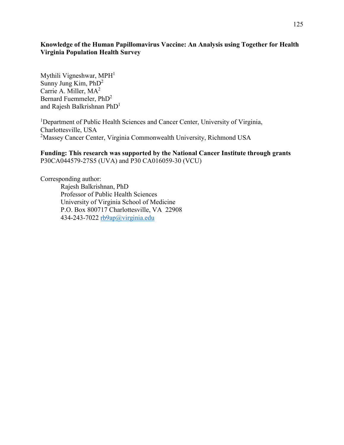#### **Knowledge of the Human Papillomavirus Vaccine: An Analysis using Together for Health Virginia Population Health Survey**

Mythili Vigneshwar,  $MPH<sup>1</sup>$ Sunny Jung Kim, PhD2 Carrie A. Miller, MA<sup>2</sup> Bernard Fuemmeler, PhD2 and Rajesh Balkrishnan PhD1

<sup>1</sup>Department of Public Health Sciences and Cancer Center, University of Virginia, Charlottesville, USA <sup>2</sup>Massey Cancer Center, Virginia Commonwealth University, Richmond USA

**Funding: This research was supported by the National Cancer Institute through grants**  P30CA044579-27S5 (UVA) and P30 CA016059-30 (VCU)

Corresponding author: Rajesh Balkrishnan, PhD Professor of Public Health Sciences University of Virginia School of Medicine P.O. Box 800717 Charlottesville, VA 22908 434-243-7022 [rb9ap@virginia.edu](mailto:rb9ap@virginia.edu)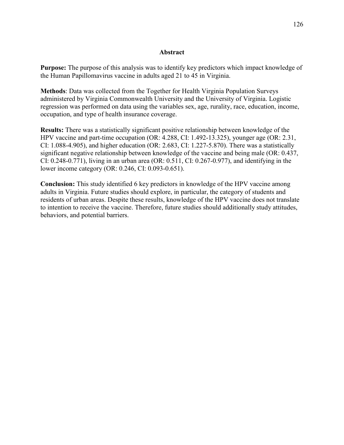#### **Abstract**

**Purpose:** The purpose of this analysis was to identify key predictors which impact knowledge of the Human Papillomavirus vaccine in adults aged 21 to 45 in Virginia.

**Methods**: Data was collected from the Together for Health Virginia Population Surveys administered by Virginia Commonwealth University and the University of Virginia. Logistic regression was performed on data using the variables sex, age, rurality, race, education, income, occupation, and type of health insurance coverage.

**Results:** There was a statistically significant positive relationship between knowledge of the HPV vaccine and part-time occupation (OR: 4.288, CI: 1.492-13.325), younger age (OR: 2.31, CI: 1.088-4.905), and higher education (OR: 2.683, CI: 1.227-5.870). There was a statistically significant negative relationship between knowledge of the vaccine and being male (OR: 0.437, CI: 0.248-0.771), living in an urban area (OR: 0.511, CI: 0.267-0.977), and identifying in the lower income category (OR: 0.246, CI: 0.093-0.651).

**Conclusion:** This study identified 6 key predictors in knowledge of the HPV vaccine among adults in Virginia. Future studies should explore, in particular, the category of students and residents of urban areas. Despite these results, knowledge of the HPV vaccine does not translate to intention to receive the vaccine. Therefore, future studies should additionally study attitudes, behaviors, and potential barriers.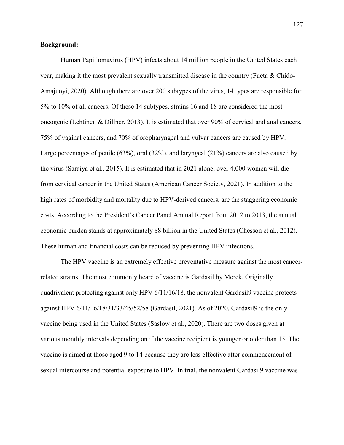#### **Background:**

Human Papillomavirus (HPV) infects about 14 million people in the United States each year, making it the most prevalent sexually transmitted disease in the country (Fueta & Chido-Amajuoyi, 2020). Although there are over 200 subtypes of the virus, 14 types are responsible for 5% to 10% of all cancers. Of these 14 subtypes, strains 16 and 18 are considered the most oncogenic (Lehtinen & Dillner, 2013). It is estimated that over 90% of cervical and anal cancers, 75% of vaginal cancers, and 70% of oropharyngeal and vulvar cancers are caused by HPV. Large percentages of penile (63%), oral (32%), and laryngeal (21%) cancers are also caused by the virus (Saraiya et al., 2015). It is estimated that in 2021 alone, over 4,000 women will die from cervical cancer in the United States (American Cancer Society, 2021). In addition to the high rates of morbidity and mortality due to HPV-derived cancers, are the staggering economic costs. According to the President's Cancer Panel Annual Report from 2012 to 2013, the annual economic burden stands at approximately \$8 billion in the United States (Chesson et al., 2012). These human and financial costs can be reduced by preventing HPV infections.

The HPV vaccine is an extremely effective preventative measure against the most cancerrelated strains. The most commonly heard of vaccine is Gardasil by Merck. Originally quadrivalent protecting against only HPV 6/11/16/18, the nonvalent Gardasil9 vaccine protects against HPV 6/11/16/18/31/33/45/52/58 (Gardasil, 2021). As of 2020, Gardasil9 is the only vaccine being used in the United States (Saslow et al., 2020). There are two doses given at various monthly intervals depending on if the vaccine recipient is younger or older than 15. The vaccine is aimed at those aged 9 to 14 because they are less effective after commencement of sexual intercourse and potential exposure to HPV. In trial, the nonvalent Gardasil9 vaccine was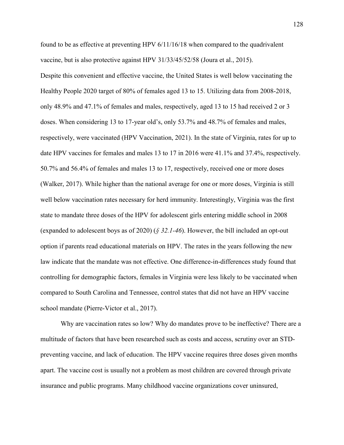found to be as effective at preventing HPV 6/11/16/18 when compared to the quadrivalent vaccine, but is also protective against HPV 31/33/45/52/58 (Joura et al., 2015). Despite this convenient and effective vaccine, the United States is well below vaccinating the Healthy People 2020 target of 80% of females aged 13 to 15. Utilizing data from 2008-2018, only 48.9% and 47.1% of females and males, respectively, aged 13 to 15 had received 2 or 3 doses. When considering 13 to 17-year old's, only 53.7% and 48.7% of females and males, respectively, were vaccinated (HPV Vaccination, 2021). In the state of Virginia, rates for up to date HPV vaccines for females and males 13 to 17 in 2016 were 41.1% and 37.4%, respectively. 50.7% and 56.4% of females and males 13 to 17, respectively, received one or more doses (Walker, 2017). While higher than the national average for one or more doses, Virginia is still well below vaccination rates necessary for herd immunity. Interestingly, Virginia was the first state to mandate three doses of the HPV for adolescent girls entering middle school in 2008 (expanded to adolescent boys as of 2020) (*§ 32.1-46*). However, the bill included an opt-out option if parents read educational materials on HPV. The rates in the years following the new law indicate that the mandate was not effective. One difference-in-differences study found that controlling for demographic factors, females in Virginia were less likely to be vaccinated when compared to South Carolina and Tennessee, control states that did not have an HPV vaccine school mandate (Pierre-Victor et al., 2017).

Why are vaccination rates so low? Why do mandates prove to be ineffective? There are a multitude of factors that have been researched such as costs and access, scrutiny over an STDpreventing vaccine, and lack of education. The HPV vaccine requires three doses given months apart. The vaccine cost is usually not a problem as most children are covered through private insurance and public programs. Many childhood vaccine organizations cover uninsured,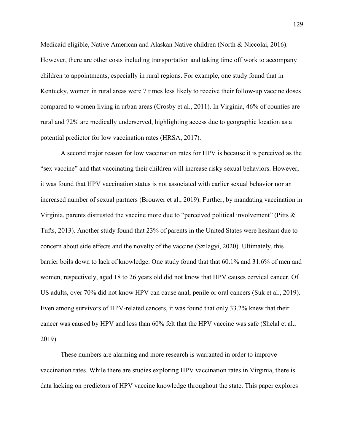Medicaid eligible, Native American and Alaskan Native children (North & Niccolai, 2016). However, there are other costs including transportation and taking time off work to accompany children to appointments, especially in rural regions. For example, one study found that in Kentucky, women in rural areas were 7 times less likely to receive their follow-up vaccine doses compared to women living in urban areas (Crosby et al., 2011). In Virginia, 46% of counties are rural and 72% are medically underserved, highlighting access due to geographic location as a potential predictor for low vaccination rates (HRSA, 2017).

A second major reason for low vaccination rates for HPV is because it is perceived as the "sex vaccine" and that vaccinating their children will increase risky sexual behaviors. However, it was found that HPV vaccination status is not associated with earlier sexual behavior nor an increased number of sexual partners (Brouwer et al., 2019). Further, by mandating vaccination in Virginia, parents distrusted the vaccine more due to "perceived political involvement" (Pitts & Tufts, 2013). Another study found that 23% of parents in the United States were hesitant due to concern about side effects and the novelty of the vaccine (Szilagyi, 2020). Ultimately, this barrier boils down to lack of knowledge. One study found that that 60.1% and 31.6% of men and women, respectively, aged 18 to 26 years old did not know that HPV causes cervical cancer. Of US adults, over 70% did not know HPV can cause anal, penile or oral cancers (Suk et al., 2019). Even among survivors of HPV-related cancers, it was found that only 33.2% knew that their cancer was caused by HPV and less than 60% felt that the HPV vaccine was safe (Shelal et al., 2019).

These numbers are alarming and more research is warranted in order to improve vaccination rates. While there are studies exploring HPV vaccination rates in Virginia, there is data lacking on predictors of HPV vaccine knowledge throughout the state. This paper explores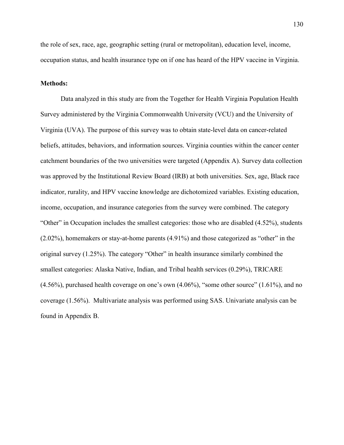the role of sex, race, age, geographic setting (rural or metropolitan), education level, income, occupation status, and health insurance type on if one has heard of the HPV vaccine in Virginia.

#### **Methods:**

Data analyzed in this study are from the Together for Health Virginia Population Health Survey administered by the Virginia Commonwealth University (VCU) and the University of Virginia (UVA). The purpose of this survey was to obtain state-level data on cancer-related beliefs, attitudes, behaviors, and information sources. Virginia counties within the cancer center catchment boundaries of the two universities were targeted (Appendix A). Survey data collection was approved by the Institutional Review Board (IRB) at both universities. Sex, age, Black race indicator, rurality, and HPV vaccine knowledge are dichotomized variables. Existing education, income, occupation, and insurance categories from the survey were combined. The category "Other" in Occupation includes the smallest categories: those who are disabled (4.52%), students (2.02%), homemakers or stay-at-home parents (4.91%) and those categorized as "other" in the original survey (1.25%). The category "Other" in health insurance similarly combined the smallest categories: Alaska Native, Indian, and Tribal health services (0.29%), TRICARE (4.56%), purchased health coverage on one's own (4.06%), "some other source" (1.61%), and no coverage (1.56%). Multivariate analysis was performed using SAS. Univariate analysis can be found in Appendix B.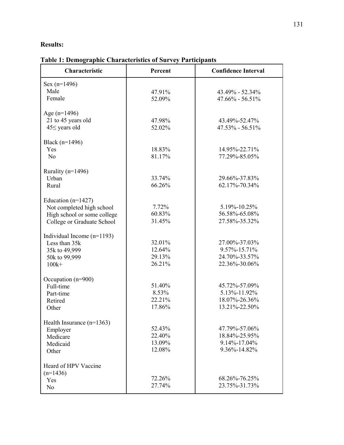# **Results:**

| <b>Table 1: Demographic Characteristics of Survey Participants</b> |  |  |  |
|--------------------------------------------------------------------|--|--|--|
|--------------------------------------------------------------------|--|--|--|

| $Sex (n=1496)$<br>Male<br>43.49% - 52.34%<br>47.91%<br>Female<br>52.09%<br>$47.66\% - 56.51\%$<br>Age $(n=1496)$<br>21 to 45 years old<br>47.98%<br>43.49%-52.47%<br>$45\le$ years old<br>52.02%<br>$47.53\% - 56.51\%$<br>Black $(n=1496)$<br>Yes<br>18.83%<br>14.95%-22.71%<br>N <sub>o</sub><br>81.17%<br>77.29%-85.05%<br>Rurality (n=1496)<br>33.74%<br>29.66%-37.83%<br>Urban<br>66.26%<br>62.17%-70.34%<br>Rural<br>Education ( $n=1427$ )<br>7.72%<br>5.19%-10.25%<br>Not completed high school<br>60.83%<br>56.58%-65.08%<br>High school or some college<br>31.45%<br>27.58%-35.32%<br>College or Graduate School<br>Individual Income $(n=1193)$<br>32.01%<br>27.00%-37.03%<br>Less than 35k<br>12.64%<br>$9.57\% - 15.71\%$<br>35k to 49,999<br>24.70%-33.57%<br>29.13%<br>50k to 99,999<br>26.21%<br>22.36%-30.06%<br>$100k+$<br>Occupation (n=900)<br>51.40%<br>45.72%-57.09%<br>Full-time<br>8.53%<br>5.13%-11.92%<br>Part-time<br>22.21%<br>18.07%-26.36%<br>Retired<br>17.86%<br>13.21%-22.50%<br>Other<br>Health Insurance $(n=1363)$<br>52.43%<br>47.79%-57.06%<br>Employer<br>22.40%<br>18.84%-25.95%<br>Medicare<br>13.09%<br>9.14%-17.04%<br>Medicaid<br>12.08%<br>9.36%-14.82%<br>Other<br>Heard of HPV Vaccine<br>$(n=1436)$<br>72.26%<br>68.26%-76.25%<br>Yes<br>27.74%<br>23.75%-31.73%<br>N <sub>o</sub> | <b>Characteristic</b> | Percent | <b>Confidence Interval</b> |
|------------------------------------------------------------------------------------------------------------------------------------------------------------------------------------------------------------------------------------------------------------------------------------------------------------------------------------------------------------------------------------------------------------------------------------------------------------------------------------------------------------------------------------------------------------------------------------------------------------------------------------------------------------------------------------------------------------------------------------------------------------------------------------------------------------------------------------------------------------------------------------------------------------------------------------------------------------------------------------------------------------------------------------------------------------------------------------------------------------------------------------------------------------------------------------------------------------------------------------------------------------------------------------------------------------------------------------|-----------------------|---------|----------------------------|
|                                                                                                                                                                                                                                                                                                                                                                                                                                                                                                                                                                                                                                                                                                                                                                                                                                                                                                                                                                                                                                                                                                                                                                                                                                                                                                                                    |                       |         |                            |
|                                                                                                                                                                                                                                                                                                                                                                                                                                                                                                                                                                                                                                                                                                                                                                                                                                                                                                                                                                                                                                                                                                                                                                                                                                                                                                                                    |                       |         |                            |
|                                                                                                                                                                                                                                                                                                                                                                                                                                                                                                                                                                                                                                                                                                                                                                                                                                                                                                                                                                                                                                                                                                                                                                                                                                                                                                                                    |                       |         |                            |
|                                                                                                                                                                                                                                                                                                                                                                                                                                                                                                                                                                                                                                                                                                                                                                                                                                                                                                                                                                                                                                                                                                                                                                                                                                                                                                                                    |                       |         |                            |
|                                                                                                                                                                                                                                                                                                                                                                                                                                                                                                                                                                                                                                                                                                                                                                                                                                                                                                                                                                                                                                                                                                                                                                                                                                                                                                                                    |                       |         |                            |
|                                                                                                                                                                                                                                                                                                                                                                                                                                                                                                                                                                                                                                                                                                                                                                                                                                                                                                                                                                                                                                                                                                                                                                                                                                                                                                                                    |                       |         |                            |
|                                                                                                                                                                                                                                                                                                                                                                                                                                                                                                                                                                                                                                                                                                                                                                                                                                                                                                                                                                                                                                                                                                                                                                                                                                                                                                                                    |                       |         |                            |
|                                                                                                                                                                                                                                                                                                                                                                                                                                                                                                                                                                                                                                                                                                                                                                                                                                                                                                                                                                                                                                                                                                                                                                                                                                                                                                                                    |                       |         |                            |
|                                                                                                                                                                                                                                                                                                                                                                                                                                                                                                                                                                                                                                                                                                                                                                                                                                                                                                                                                                                                                                                                                                                                                                                                                                                                                                                                    |                       |         |                            |
|                                                                                                                                                                                                                                                                                                                                                                                                                                                                                                                                                                                                                                                                                                                                                                                                                                                                                                                                                                                                                                                                                                                                                                                                                                                                                                                                    |                       |         |                            |
|                                                                                                                                                                                                                                                                                                                                                                                                                                                                                                                                                                                                                                                                                                                                                                                                                                                                                                                                                                                                                                                                                                                                                                                                                                                                                                                                    |                       |         |                            |
|                                                                                                                                                                                                                                                                                                                                                                                                                                                                                                                                                                                                                                                                                                                                                                                                                                                                                                                                                                                                                                                                                                                                                                                                                                                                                                                                    |                       |         |                            |
|                                                                                                                                                                                                                                                                                                                                                                                                                                                                                                                                                                                                                                                                                                                                                                                                                                                                                                                                                                                                                                                                                                                                                                                                                                                                                                                                    |                       |         |                            |
|                                                                                                                                                                                                                                                                                                                                                                                                                                                                                                                                                                                                                                                                                                                                                                                                                                                                                                                                                                                                                                                                                                                                                                                                                                                                                                                                    |                       |         |                            |
|                                                                                                                                                                                                                                                                                                                                                                                                                                                                                                                                                                                                                                                                                                                                                                                                                                                                                                                                                                                                                                                                                                                                                                                                                                                                                                                                    |                       |         |                            |
|                                                                                                                                                                                                                                                                                                                                                                                                                                                                                                                                                                                                                                                                                                                                                                                                                                                                                                                                                                                                                                                                                                                                                                                                                                                                                                                                    |                       |         |                            |
|                                                                                                                                                                                                                                                                                                                                                                                                                                                                                                                                                                                                                                                                                                                                                                                                                                                                                                                                                                                                                                                                                                                                                                                                                                                                                                                                    |                       |         |                            |
|                                                                                                                                                                                                                                                                                                                                                                                                                                                                                                                                                                                                                                                                                                                                                                                                                                                                                                                                                                                                                                                                                                                                                                                                                                                                                                                                    |                       |         |                            |
|                                                                                                                                                                                                                                                                                                                                                                                                                                                                                                                                                                                                                                                                                                                                                                                                                                                                                                                                                                                                                                                                                                                                                                                                                                                                                                                                    |                       |         |                            |
|                                                                                                                                                                                                                                                                                                                                                                                                                                                                                                                                                                                                                                                                                                                                                                                                                                                                                                                                                                                                                                                                                                                                                                                                                                                                                                                                    |                       |         |                            |
|                                                                                                                                                                                                                                                                                                                                                                                                                                                                                                                                                                                                                                                                                                                                                                                                                                                                                                                                                                                                                                                                                                                                                                                                                                                                                                                                    |                       |         |                            |
|                                                                                                                                                                                                                                                                                                                                                                                                                                                                                                                                                                                                                                                                                                                                                                                                                                                                                                                                                                                                                                                                                                                                                                                                                                                                                                                                    |                       |         |                            |
|                                                                                                                                                                                                                                                                                                                                                                                                                                                                                                                                                                                                                                                                                                                                                                                                                                                                                                                                                                                                                                                                                                                                                                                                                                                                                                                                    |                       |         |                            |
|                                                                                                                                                                                                                                                                                                                                                                                                                                                                                                                                                                                                                                                                                                                                                                                                                                                                                                                                                                                                                                                                                                                                                                                                                                                                                                                                    |                       |         |                            |
|                                                                                                                                                                                                                                                                                                                                                                                                                                                                                                                                                                                                                                                                                                                                                                                                                                                                                                                                                                                                                                                                                                                                                                                                                                                                                                                                    |                       |         |                            |
|                                                                                                                                                                                                                                                                                                                                                                                                                                                                                                                                                                                                                                                                                                                                                                                                                                                                                                                                                                                                                                                                                                                                                                                                                                                                                                                                    |                       |         |                            |
|                                                                                                                                                                                                                                                                                                                                                                                                                                                                                                                                                                                                                                                                                                                                                                                                                                                                                                                                                                                                                                                                                                                                                                                                                                                                                                                                    |                       |         |                            |
|                                                                                                                                                                                                                                                                                                                                                                                                                                                                                                                                                                                                                                                                                                                                                                                                                                                                                                                                                                                                                                                                                                                                                                                                                                                                                                                                    |                       |         |                            |
|                                                                                                                                                                                                                                                                                                                                                                                                                                                                                                                                                                                                                                                                                                                                                                                                                                                                                                                                                                                                                                                                                                                                                                                                                                                                                                                                    |                       |         |                            |
|                                                                                                                                                                                                                                                                                                                                                                                                                                                                                                                                                                                                                                                                                                                                                                                                                                                                                                                                                                                                                                                                                                                                                                                                                                                                                                                                    |                       |         |                            |
|                                                                                                                                                                                                                                                                                                                                                                                                                                                                                                                                                                                                                                                                                                                                                                                                                                                                                                                                                                                                                                                                                                                                                                                                                                                                                                                                    |                       |         |                            |
|                                                                                                                                                                                                                                                                                                                                                                                                                                                                                                                                                                                                                                                                                                                                                                                                                                                                                                                                                                                                                                                                                                                                                                                                                                                                                                                                    |                       |         |                            |
|                                                                                                                                                                                                                                                                                                                                                                                                                                                                                                                                                                                                                                                                                                                                                                                                                                                                                                                                                                                                                                                                                                                                                                                                                                                                                                                                    |                       |         |                            |
|                                                                                                                                                                                                                                                                                                                                                                                                                                                                                                                                                                                                                                                                                                                                                                                                                                                                                                                                                                                                                                                                                                                                                                                                                                                                                                                                    |                       |         |                            |
|                                                                                                                                                                                                                                                                                                                                                                                                                                                                                                                                                                                                                                                                                                                                                                                                                                                                                                                                                                                                                                                                                                                                                                                                                                                                                                                                    |                       |         |                            |
|                                                                                                                                                                                                                                                                                                                                                                                                                                                                                                                                                                                                                                                                                                                                                                                                                                                                                                                                                                                                                                                                                                                                                                                                                                                                                                                                    |                       |         |                            |
|                                                                                                                                                                                                                                                                                                                                                                                                                                                                                                                                                                                                                                                                                                                                                                                                                                                                                                                                                                                                                                                                                                                                                                                                                                                                                                                                    |                       |         |                            |
|                                                                                                                                                                                                                                                                                                                                                                                                                                                                                                                                                                                                                                                                                                                                                                                                                                                                                                                                                                                                                                                                                                                                                                                                                                                                                                                                    |                       |         |                            |
|                                                                                                                                                                                                                                                                                                                                                                                                                                                                                                                                                                                                                                                                                                                                                                                                                                                                                                                                                                                                                                                                                                                                                                                                                                                                                                                                    |                       |         |                            |
|                                                                                                                                                                                                                                                                                                                                                                                                                                                                                                                                                                                                                                                                                                                                                                                                                                                                                                                                                                                                                                                                                                                                                                                                                                                                                                                                    |                       |         |                            |
|                                                                                                                                                                                                                                                                                                                                                                                                                                                                                                                                                                                                                                                                                                                                                                                                                                                                                                                                                                                                                                                                                                                                                                                                                                                                                                                                    |                       |         |                            |
|                                                                                                                                                                                                                                                                                                                                                                                                                                                                                                                                                                                                                                                                                                                                                                                                                                                                                                                                                                                                                                                                                                                                                                                                                                                                                                                                    |                       |         |                            |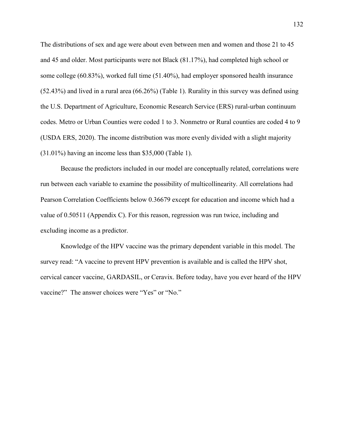The distributions of sex and age were about even between men and women and those 21 to 45 and 45 and older. Most participants were not Black (81.17%), had completed high school or some college (60.83%), worked full time (51.40%), had employer sponsored health insurance (52.43%) and lived in a rural area (66.26%) (Table 1). Rurality in this survey was defined using the U.S. Department of Agriculture, Economic Research Service (ERS) rural-urban continuum codes. Metro or Urban Counties were coded 1 to 3. Nonmetro or Rural counties are coded 4 to 9 (USDA ERS, 2020). The income distribution was more evenly divided with a slight majority (31.01%) having an income less than \$35,000 (Table 1).

Because the predictors included in our model are conceptually related, correlations were run between each variable to examine the possibility of multicollinearity. All correlations had Pearson Correlation Coefficients below 0.36679 except for education and income which had a value of 0.50511 (Appendix C). For this reason, regression was run twice, including and excluding income as a predictor.

Knowledge of the HPV vaccine was the primary dependent variable in this model. The survey read: "A vaccine to prevent HPV prevention is available and is called the HPV shot, cervical cancer vaccine, GARDASIL, or Ceravix. Before today, have you ever heard of the HPV vaccine?" The answer choices were "Yes" or "No."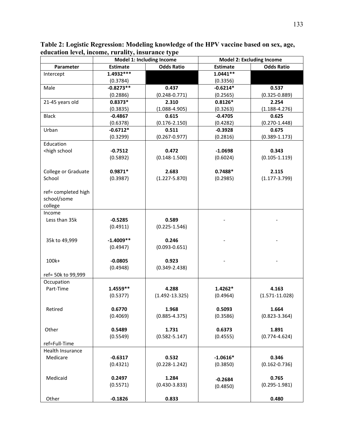|                                                                                                                      | Model 1: Including Income |                    | <b>Model 2: Excluding Income</b> |                    |  |
|----------------------------------------------------------------------------------------------------------------------|---------------------------|--------------------|----------------------------------|--------------------|--|
| Parameter                                                                                                            | <b>Estimate</b>           | <b>Odds Ratio</b>  | <b>Estimate</b>                  | <b>Odds Ratio</b>  |  |
| Intercept                                                                                                            | 1.4932 ***                |                    | $1.0441**$                       |                    |  |
|                                                                                                                      | (0.3784)                  |                    | (0.3356)                         |                    |  |
| Male                                                                                                                 | $-0.8273**$               | 0.437              | $-0.6214*$                       | 0.537              |  |
|                                                                                                                      | (0.2886)                  | $(0.248 - 0.771)$  | (0.2565)                         | $(0.325 - 0.889)$  |  |
| 21-45 years old                                                                                                      | $0.8373*$                 | 2.310              | $0.8126*$                        | 2.254              |  |
|                                                                                                                      | (0.3835)                  | $(1.088 - 4.905)$  | (0.3263)                         | $(1.188 - 4.276)$  |  |
| <b>Black</b>                                                                                                         | $-0.4867$                 | 0.615              | $-0.4705$                        | 0.625              |  |
|                                                                                                                      | (0.6378)                  | $(0.176 - 2.150)$  | (0.4282)                         | $(0.270 - 1.448)$  |  |
| Urban                                                                                                                | $-0.6712*$                | 0.511              | $-0.3928$                        | 0.675              |  |
|                                                                                                                      | (0.3299)                  | $(0.267 - 0.977)$  | (0.2816)                         | $(0.389 - 1.173)$  |  |
| Education                                                                                                            |                           |                    |                                  |                    |  |
| <high school<="" td=""><td><math>-0.7512</math></td><td>0.472</td><td><math>-1.0698</math></td><td>0.343</td></high> | $-0.7512$                 | 0.472              | $-1.0698$                        | 0.343              |  |
|                                                                                                                      | (0.5892)                  | $(0.148 - 1.500)$  | (0.6024)                         | $(0.105 - 1.119)$  |  |
|                                                                                                                      |                           |                    |                                  |                    |  |
| College or Graduate                                                                                                  | $0.9871*$                 | 2.683              | $0.7488*$                        | 2.115              |  |
| School                                                                                                               | (0.3987)                  | $(1.227 - 5.870)$  | (0.2985)                         | $(1.177 - 3.799)$  |  |
|                                                                                                                      |                           |                    |                                  |                    |  |
| ref= completed high                                                                                                  |                           |                    |                                  |                    |  |
| school/some                                                                                                          |                           |                    |                                  |                    |  |
| college                                                                                                              |                           |                    |                                  |                    |  |
| Income                                                                                                               |                           |                    |                                  |                    |  |
| Less than 35k                                                                                                        | $-0.5285$                 | 0.589              |                                  |                    |  |
|                                                                                                                      | (0.4911)                  | $(0.225 - 1.546)$  |                                  |                    |  |
|                                                                                                                      |                           |                    |                                  |                    |  |
| 35k to 49,999                                                                                                        | $-1.4009**$               | 0.246              |                                  |                    |  |
|                                                                                                                      | (0.4947)                  | $(0.093 - 0.651)$  |                                  |                    |  |
| 100k+                                                                                                                | $-0.0805$                 | 0.923              |                                  |                    |  |
|                                                                                                                      | (0.4948)                  | $(0.349 - 2.438)$  |                                  |                    |  |
| ref= 50k to 99,999                                                                                                   |                           |                    |                                  |                    |  |
| Occupation                                                                                                           |                           |                    |                                  |                    |  |
| Part-Time                                                                                                            | 1.4559**                  | 4.288              | $1.4262*$                        | 4.163              |  |
|                                                                                                                      | (0.5377)                  | $(1.492 - 13.325)$ | (0.4964)                         | $(1.571 - 11.028)$ |  |
|                                                                                                                      |                           |                    |                                  |                    |  |
| Retired                                                                                                              | 0.6770                    | 1.968              | 0.5093                           | 1.664              |  |
|                                                                                                                      | (0.4069)                  | $(0.885 - 4.375)$  | (0.3586)                         | $(0.823 - 3.364)$  |  |
|                                                                                                                      |                           |                    |                                  |                    |  |
| Other                                                                                                                | 0.5489                    | 1.731              | 0.6373                           | 1.891              |  |
|                                                                                                                      | (0.5549)                  | $(0.582 - 5.147)$  | (0.4555)                         | $(0.774 - 4.624)$  |  |
| ref=Full-Time                                                                                                        |                           |                    |                                  |                    |  |
| Health Insurance                                                                                                     |                           |                    |                                  |                    |  |
| Medicare                                                                                                             | $-0.6317$                 | 0.532              | $-1.0616*$                       | 0.346              |  |
|                                                                                                                      | (0.4321)                  | $(0.228 - 1.242)$  | (0.3850)                         | $(0.162 - 0.736)$  |  |
|                                                                                                                      |                           |                    |                                  |                    |  |
| Medicaid                                                                                                             | 0.2497                    | 1.284              | $-0.2684$                        | 0.765              |  |
|                                                                                                                      | (0.5571)                  | $(0.430 - 3.833)$  | (0.4850)                         | $(0.295 - 1.981)$  |  |
|                                                                                                                      |                           |                    |                                  |                    |  |
| Other                                                                                                                | $-0.1826$                 | 0.833              |                                  | 0.480              |  |

**Table 2: Logistic Regression: Modeling knowledge of the HPV vaccine based on sex, age, education level, income, rurality, insurance type**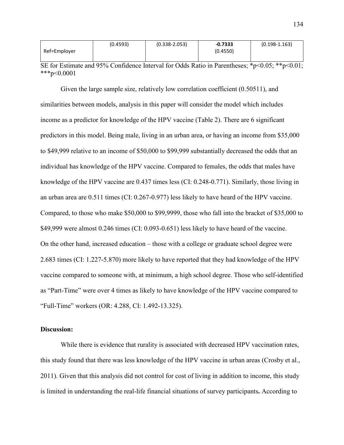|              | (0.4593) | $(0.338 - 2.053)$ | $-0.7333$ | $(0.198 - 1.163)$ |
|--------------|----------|-------------------|-----------|-------------------|
| Ref=Employer |          |                   | (0.4550)  |                   |
|              |          |                   |           |                   |

SE for Estimate and 95% Confidence Interval for Odds Ratio in Parentheses; \*p<0.05; \*\*p<0.01;  $***p<0.0001$ 

Given the large sample size, relatively low correlation coefficient (0.50511), and similarities between models, analysis in this paper will consider the model which includes income as a predictor for knowledge of the HPV vaccine (Table 2). There are 6 significant predictors in this model. Being male, living in an urban area, or having an income from \$35,000 to \$49,999 relative to an income of \$50,000 to \$99,999 substantially decreased the odds that an individual has knowledge of the HPV vaccine. Compared to females, the odds that males have knowledge of the HPV vaccine are 0.437 times less (CI: 0.248-0.771). Similarly, those living in an urban area are 0.511 times (CI: 0.267-0.977) less likely to have heard of the HPV vaccine. Compared, to those who make \$50,000 to \$99,9999, those who fall into the bracket of \$35,000 to \$49,999 were almost 0.246 times (CI: 0.093-0.651) less likely to have heard of the vaccine. On the other hand, increased education – those with a college or graduate school degree were 2.683 times (CI: 1.227-5.870) more likely to have reported that they had knowledge of the HPV vaccine compared to someone with, at minimum, a high school degree. Those who self-identified as "Part-Time" were over 4 times as likely to have knowledge of the HPV vaccine compared to "Full-Time" workers (OR: 4.288, CI: 1.492-13.325).

#### **Discussion:**

While there is evidence that rurality is associated with decreased HPV vaccination rates, this study found that there was less knowledge of the HPV vaccine in urban areas (Crosby et al., 2011). Given that this analysis did not control for cost of living in addition to income, this study is limited in understanding the real-life financial situations of survey participants**.** According to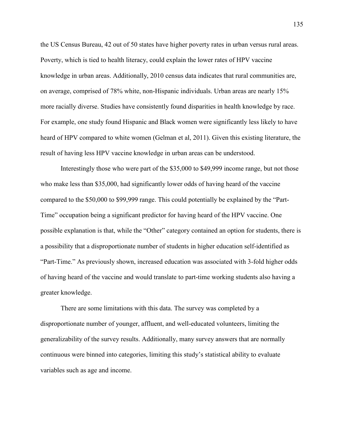the US Census Bureau, 42 out of 50 states have higher poverty rates in urban versus rural areas. Poverty, which is tied to health literacy, could explain the lower rates of HPV vaccine knowledge in urban areas. Additionally, 2010 census data indicates that rural communities are, on average, comprised of 78% white, non-Hispanic individuals. Urban areas are nearly 15% more racially diverse. Studies have consistently found disparities in health knowledge by race. For example, one study found Hispanic and Black women were significantly less likely to have heard of HPV compared to white women (Gelman et al, 2011). Given this existing literature, the result of having less HPV vaccine knowledge in urban areas can be understood.

Interestingly those who were part of the \$35,000 to \$49,999 income range, but not those who make less than \$35,000, had significantly lower odds of having heard of the vaccine compared to the \$50,000 to \$99,999 range. This could potentially be explained by the "Part-Time" occupation being a significant predictor for having heard of the HPV vaccine. One possible explanation is that, while the "Other" category contained an option for students, there is a possibility that a disproportionate number of students in higher education self-identified as "Part-Time." As previously shown, increased education was associated with 3-fold higher odds of having heard of the vaccine and would translate to part-time working students also having a greater knowledge.

There are some limitations with this data. The survey was completed by a disproportionate number of younger, affluent, and well-educated volunteers, limiting the generalizability of the survey results. Additionally, many survey answers that are normally continuous were binned into categories, limiting this study's statistical ability to evaluate variables such as age and income.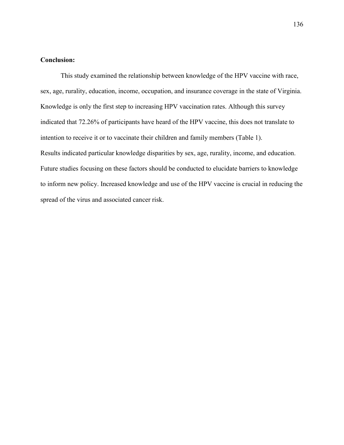#### **Conclusion:**

This study examined the relationship between knowledge of the HPV vaccine with race, sex, age, rurality, education, income, occupation, and insurance coverage in the state of Virginia. Knowledge is only the first step to increasing HPV vaccination rates. Although this survey indicated that 72.26% of participants have heard of the HPV vaccine, this does not translate to intention to receive it or to vaccinate their children and family members (Table 1). Results indicated particular knowledge disparities by sex, age, rurality, income, and education. Future studies focusing on these factors should be conducted to elucidate barriers to knowledge to inform new policy. Increased knowledge and use of the HPV vaccine is crucial in reducing the spread of the virus and associated cancer risk.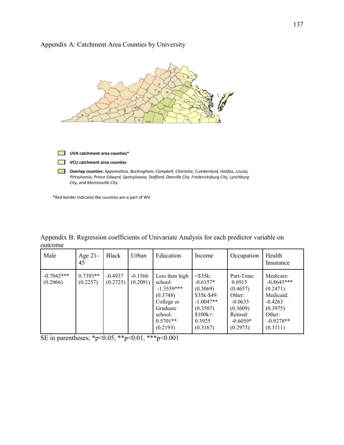# Appendix A: Catchment Area Counties by University



\*Red border indicates the counties are a part of WV

Appendix B: Regression coefficients of Univariate Analysis for each predictor variable on outcome

| Male                     | Age $21$ -<br>45       | Black                 | Urban                 | Education                                                                                                            | Income                                                                                                                 | Occupation                                                                                                | Health<br>Insurance                                                                                              |
|--------------------------|------------------------|-----------------------|-----------------------|----------------------------------------------------------------------------------------------------------------------|------------------------------------------------------------------------------------------------------------------------|-----------------------------------------------------------------------------------------------------------|------------------------------------------------------------------------------------------------------------------|
| $-0.7042***$<br>(0.2066) | $0.7393**$<br>(0.2257) | $-0.4937$<br>(0.2725) | $-0.1566$<br>(0.2091) | Less than high<br>school:<br>$-1.3559***$<br>(0.3748)<br>College or<br>Graduate<br>school:<br>$0.5701**$<br>(0.2193) | $<$ \$35 $k$ :<br>$-0.6157*$<br>(0.3069)<br>$$35k-$49:$<br>$-1.0047**$<br>(0.3507)<br>$$100k+$ :<br>0.3925<br>(0.3167) | Part-Time:<br>0.6915<br>(0.4657)<br>Other:<br>$-0.0635$<br>(0.3609)<br>Retired:<br>$-0.6059*$<br>(0.2973) | Medicare:<br>$-0.8645***$<br>(0.2471)<br>Medicaid:<br>$-0.4263$<br>(0.3975)<br>Other:<br>$-0.9278**$<br>(0.3111) |

SE in parentheses; \*p<0.05, \*\*p<0.01, \*\*\*p<0.001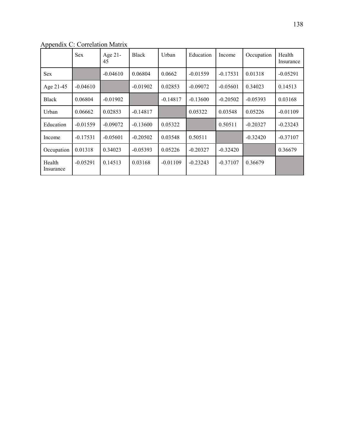|                     | <b>Sex</b> | Age 21-<br>45 | <b>Black</b> | Urban      | Education  | Income     | Occupation | Health<br>Insurance |
|---------------------|------------|---------------|--------------|------------|------------|------------|------------|---------------------|
| <b>Sex</b>          |            | $-0.04610$    | 0.06804      | 0.0662     | $-0.01559$ | $-0.17531$ | 0.01318    | $-0.05291$          |
| Age 21-45           | $-0.04610$ |               | $-0.01902$   | 0.02853    | $-0.09072$ | $-0.05601$ | 0.34023    | 0.14513             |
| Black               | 0.06804    | $-0.01902$    |              | $-0.14817$ | $-0.13600$ | $-0.20502$ | $-0.05393$ | 0.03168             |
| Urban               | 0.06662    | 0.02853       | $-0.14817$   |            | 0.05322    | 0.03548    | 0.05226    | $-0.01109$          |
| Education           | $-0.01559$ | $-0.09072$    | $-0.13600$   | 0.05322    |            | 0.50511    | $-0.20327$ | $-0.23243$          |
| Income              | $-0.17531$ | $-0.05601$    | $-0.20502$   | 0.03548    | 0.50511    |            | $-0.32420$ | $-0.37107$          |
| Occupation          | 0.01318    | 0.34023       | $-0.05393$   | 0.05226    | $-0.20327$ | $-0.32420$ |            | 0.36679             |
| Health<br>Insurance | $-0.05291$ | 0.14513       | 0.03168      | $-0.01109$ | $-0.23243$ | $-0.37107$ | 0.36679    |                     |

Appendix C: Correlation Matrix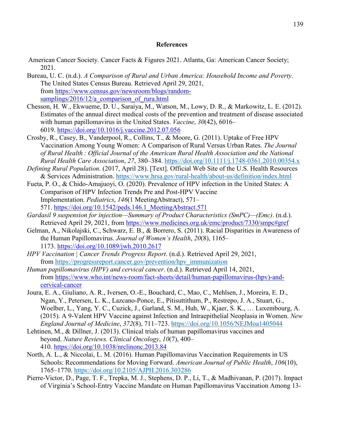#### **References**

- American Cancer Society. Cancer Facts & Figures 2021. Atlanta, Ga: American Cancer Society; 2021.
- Bureau, U. C. (n.d.). *A Comparison of Rural and Urban America: Household Income and Poverty*. The United States Census Bureau. Retrieved April 29, 2021, from [https://www.census.gov/newsroom/blogs/random](https://www.census.gov/newsroom/blogs/random-samplings/2016/12/a_comparison_of_rura.html)samplings/2016/12/a comparison of rura.html
- Chesson, H. W., Ekwueme, D. U., Saraiya, M., Watson, M., Lowy, D. R., & Markowitz, L. E. (2012). Estimates of the annual direct medical costs of the prevention and treatment of disease associated with human papillomavirus in the United States. *Vaccine*, *30*(42), 6016– 6019. <https://doi.org/10.1016/j.vaccine.2012.07.056>
- Crosby, R., Casey, B., Vanderpool, R., Collins, T., & Moore, G. (2011). Uptake of Free HPV Vaccination Among Young Women: A Comparison of Rural Versus Urban Rates. *The Journal of Rural Health : Official Journal of the American Rural Health Association and the National Rural Health Care Association*, *27*, 380–384. <https://doi.org/10.1111/j.1748-0361.2010.00354.x>
- *Defining Rural Population*. (2017, April 28). [Text]. Official Web Site of the U.S. Health Resources & Services Administration.<https://www.hrsa.gov/rural-health/about-us/definition/index.html>
- Fueta, P. O., & Chido-Amajuoyi, O. (2020). Prevalence of HPV infection in the United States: A Comparison of HPV Infection Trends Pre and Post-HPV Vaccine Implementation. *Pediatrics*, *146*(1 MeetingAbstract), 571– 571. [https://doi.org/10.1542/peds.146.1\\_MeetingAbstract.571](https://doi.org/10.1542/peds.146.1_MeetingAbstract.571)
- *Gardasil 9 suspension for injection—Summary of Product Characteristics (SmPC)—(Emc)*. (n.d.). Retrieved April 29, 2021, from <https://www.medicines.org.uk/emc/product/7330/smpc#gref>
- Gelman, A., Nikolajski, C., Schwarz, E. B., & Borrero, S. (2011). Racial Disparities in Awareness of the Human Papillomavirus. *Journal of Women's Health*, *20*(8), 1165– 1173. <https://doi.org/10.1089/jwh.2010.2617>
- *HPV Vaccination | Cancer Trends Progress Report*. (n.d.). Retrieved April 29, 2021, from [https://progressreport.cancer.gov/prevention/hpv\\_immunization](https://progressreport.cancer.gov/prevention/hpv_immunization)
- *Human papillomavirus (HPV) and cervical cancer*. (n.d.). Retrieved April 14, 2021, from [https://www.who.int/news-room/fact-sheets/detail/human-papillomavirus-\(hpv\)-and](https://www.who.int/news-room/fact-sheets/detail/human-papillomavirus-(hpv)-and-cervical-cancer)[cervical-cancer](https://www.who.int/news-room/fact-sheets/detail/human-papillomavirus-(hpv)-and-cervical-cancer)
- Joura, E. A., Giuliano, A. R., Iversen, O.-E., Bouchard, C., Mao, C., Mehlsen, J., Moreira, E. D., Ngan, Y., Petersen, L. K., Lazcano-Ponce, E., Pitisuttithum, P., Restrepo, J. A., Stuart, G., Woelber, L., Yang, Y. C., Cuzick, J., Garland, S. M., Huh, W., Kjaer, S. K., … Luxembourg, A. (2015). A 9-Valent HPV Vaccine against Infection and Intraepithelial Neoplasia in Women. *New England Journal of Medicine*, *372*(8), 711–723. <https://doi.org/10.1056/NEJMoa1405044>
- Lehtinen, M., & Dillner, J. (2013). Clinical trials of human papillomavirus vaccines and beyond. *Nature Reviews. Clinical Oncology*, *10*(7), 400– 410. <https://doi.org/10.1038/nrclinonc.2013.84>
- North, A. L., & Niccolai, L. M. (2016). Human Papillomavirus Vaccination Requirements in US Schools: Recommendations for Moving Forward. *American Journal of Public Health*, *106*(10), 1765–1770. <https://doi.org/10.2105/AJPH.2016.303286>
- Pierre-Victor, D., Page, T. F., Trepka, M. J., Stephens, D. P., Li, T., & Madhivanan, P. (2017). Impact of Virginia's School-Entry Vaccine Mandate on Human Papillomavirus Vaccination Among 13-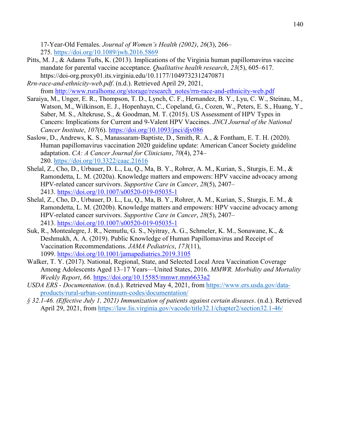17-Year-Old Females. *Journal of Women's Health (2002)*, *26*(3), 266– 275. <https://doi.org/10.1089/jwh.2016.5869>

- Pitts, M. J., & Adams Tufts, K. (2013). Implications of the Virginia human papillomavirus vaccine mandate for parental vaccine acceptance. *Qualitative health research*, *23*(5), 605–617. https://doi-org.proxy01.its.virginia.edu/10.1177/1049732312470871
- *Rrn-race-and-ethnicity-web.pdf*. (n.d.). Retrieved April 29, 2021, from [http://www.ruralhome.org/storage/research\\_notes/rrn-race-and-ethnicity-web.pdf](http://www.ruralhome.org/storage/research_notes/rrn-race-and-ethnicity-web.pdf)
- Saraiya, M., Unger, E. R., Thompson, T. D., Lynch, C. F., Hernandez, B. Y., Lyu, C. W., Steinau, M., Watson, M., Wilkinson, E. J., Hopenhayn, C., Copeland, G., Cozen, W., Peters, E. S., Huang, Y., Saber, M. S., Altekruse, S., & Goodman, M. T. (2015). US Assessment of HPV Types in Cancers: Implications for Current and 9-Valent HPV Vaccines. *JNCI Journal of the National Cancer Institute*, *107*(6). <https://doi.org/10.1093/jnci/djv086>
- Saslow, D., Andrews, K. S., Manassaram‐Baptiste, D., Smith, R. A., & Fontham, E. T. H. (2020). Human papillomavirus vaccination 2020 guideline update: American Cancer Society guideline adaptation. *CA: A Cancer Journal for Clinicians*, *70*(4), 274– 280. <https://doi.org/10.3322/caac.21616>
- Shelal, Z., Cho, D., Urbauer, D. L., Lu, Q., Ma, B. Y., Rohrer, A. M., Kurian, S., Sturgis, E. M., & Ramondetta, L. M. (2020a). Knowledge matters and empowers: HPV vaccine advocacy among HPV-related cancer survivors. *Supportive Care in Cancer*, *28*(5), 2407– 2413. <https://doi.org/10.1007/s00520-019-05035-1>
- Shelal, Z., Cho, D., Urbauer, D. L., Lu, Q., Ma, B. Y., Rohrer, A. M., Kurian, S., Sturgis, E. M., & Ramondetta, L. M. (2020b). Knowledge matters and empowers: HPV vaccine advocacy among HPV-related cancer survivors. *Supportive Care in Cancer*, *28*(5), 2407– 2413. <https://doi.org/10.1007/s00520-019-05035-1>
- Suk, R., Montealegre, J. R., Nemutlu, G. S., Nyitray, A. G., Schmeler, K. M., Sonawane, K., & Deshmukh, A. A. (2019). Public Knowledge of Human Papillomavirus and Receipt of Vaccination Recommendations. *JAMA Pediatrics*, *173*(11), 1099. <https://doi.org/10.1001/jamapediatrics.2019.3105>
- Walker, T. Y. (2017). National, Regional, State, and Selected Local Area Vaccination Coverage Among Adolescents Aged 13–17 Years—United States, 2016. *MMWR. Morbidity and Mortality Weekly Report*, *66*.<https://doi.org/10.15585/mmwr.mm6633a2>
- *USDA ERS - Documentation*. (n.d.). Retrieved May 4, 2021, from [https://www.ers.usda.gov/data](https://www.ers.usda.gov/data-products/rural-urban-continuum-codes/documentation/)[products/rural-urban-continuum-codes/documentation/](https://www.ers.usda.gov/data-products/rural-urban-continuum-codes/documentation/)
- *§ 32.1-46. (Effective July 1, 2021) Immunization of patients against certain diseases*. (n.d.). Retrieved April 29, 2021, from <https://law.lis.virginia.gov/vacode/title32.1/chapter2/section32.1-46/>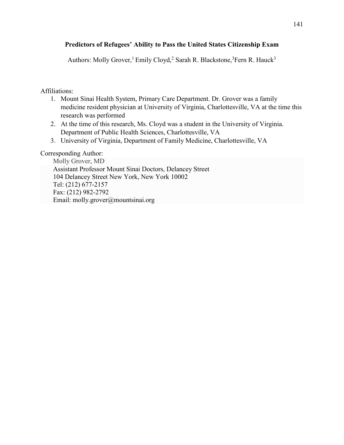# **Predictors of Refugees' Ability to Pass the United States Citizenship Exam**

Authors: Molly Grover,<sup>1</sup> Emily Cloyd,<sup>2</sup> Sarah R. Blackstone,<sup>3</sup>Fern R. Hauck<sup>3</sup>

# Affiliations:

- 1. Mount Sinai Health System, Primary Care Department. Dr. Grover was a family medicine resident physician at University of Virginia, Charlottesville, VA at the time this research was performed
- 2. At the time of this research, Ms. Cloyd was a student in the University of Virginia. Department of Public Health Sciences, Charlottesville, VA
- 3. University of Virginia, Department of Family Medicine, Charlottesville, VA

# Corresponding Author:

Molly Grover, MD Assistant Professor Mount Sinai Doctors, Delancey Street 104 Delancey Street New York, New York 10002 Tel: (212) 677-2157 Fax: (212) 982-2792 Email: molly.grover@mountsinai.org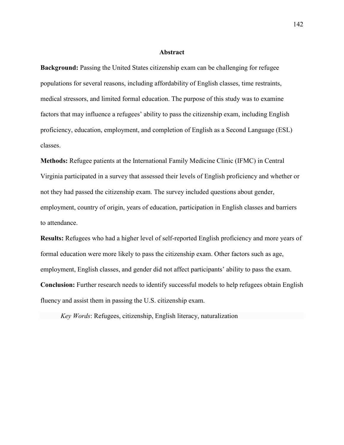#### **Abstract**

**Background:** Passing the United States citizenship exam can be challenging for refugee populations for several reasons, including affordability of English classes, time restraints, medical stressors, and limited formal education. The purpose of this study was to examine factors that may influence a refugees' ability to pass the citizenship exam, including English proficiency, education, employment, and completion of English as a Second Language (ESL) classes.

**Methods:** Refugee patients at the International Family Medicine Clinic (IFMC) in Central Virginia participated in a survey that assessed their levels of English proficiency and whether or not they had passed the citizenship exam. The survey included questions about gender, employment, country of origin, years of education, participation in English classes and barriers to attendance.

**Results:** Refugees who had a higher level of self-reported English proficiency and more years of formal education were more likely to pass the citizenship exam. Other factors such as age, employment, English classes, and gender did not affect participants' ability to pass the exam. **Conclusion:** Further research needs to identify successful models to help refugees obtain English fluency and assist them in passing the U.S. citizenship exam.

*Key Words*: Refugees, citizenship, English literacy, naturalization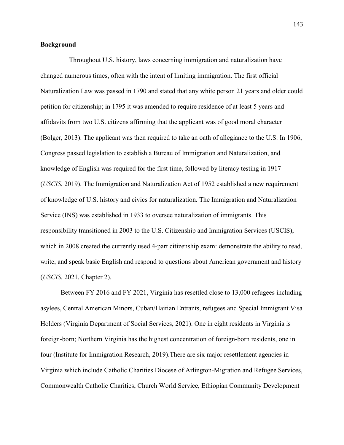#### **Background**

 Throughout U.S. history, laws concerning immigration and naturalization have changed numerous times, often with the intent of limiting immigration. The first official Naturalization Law was passed in 1790 and stated that any white person 21 years and older could petition for citizenship; in 1795 it was amended to require residence of at least 5 years and affidavits from two U.S. citizens affirming that the applicant was of good moral character (Bolger, 2013). The applicant was then required to take an oath of allegiance to the U.S. In 1906, Congress passed legislation to establish a Bureau of Immigration and Naturalization, and knowledge of English was required for the first time, followed by literacy testing in 1917 (*USCIS*, 2019). The Immigration and Naturalization Act of 1952 established a new requirement of knowledge of U.S. history and civics for naturalization. The Immigration and Naturalization Service (INS) was established in 1933 to oversee naturalization of immigrants. This responsibility transitioned in 2003 to the U.S. Citizenship and Immigration Services (USCIS), which in 2008 created the currently used 4-part citizenship exam: demonstrate the ability to read, write, and speak basic English and respond to questions about American government and history (*USCIS*, 2021, Chapter 2).

Between FY 2016 and FY 2021, Virginia has resettled close to 13,000 refugees including asylees, Central American Minors, Cuban/Haitian Entrants, refugees and Special Immigrant Visa Holders (Virginia Department of Social Services, 2021). One in eight residents in Virginia is foreign-born; Northern Virginia has the highest concentration of foreign-born residents, one in four (Institute for Immigration Research, 2019).There are six major resettlement agencies in Virginia which include Catholic Charities Diocese of Arlington-Migration and Refugee Services, Commonwealth Catholic Charities, Church World Service, Ethiopian Community Development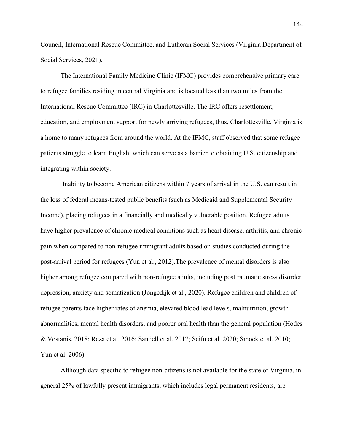Council, International Rescue Committee, and Lutheran Social Services (Virginia Department of Social Services, 2021).

The International Family Medicine Clinic (IFMC) provides comprehensive primary care to refugee families residing in central Virginia and is located less than two miles from the International Rescue Committee (IRC) in Charlottesville. The IRC offers resettlement, education, and employment support for newly arriving refugees, thus, Charlottesville, Virginia is a home to many refugees from around the world. At the IFMC, staff observed that some refugee patients struggle to learn English, which can serve as a barrier to obtaining U.S. citizenship and integrating within society.

Inability to become American citizens within 7 years of arrival in the U.S. can result in the loss of federal means-tested public benefits (such as Medicaid and Supplemental Security Income), placing refugees in a financially and medically vulnerable position. Refugee adults have higher prevalence of chronic medical conditions such as heart disease, arthritis, and chronic pain when compared to non-refugee immigrant adults based on studies conducted during the post-arrival period for refugees (Yun et al., 2012).The prevalence of mental disorders is also higher among refugee compared with non-refugee adults, including posttraumatic stress disorder, depression, anxiety and somatization (Jongedijk et al., 2020). Refugee children and children of refugee parents face higher rates of anemia, elevated blood lead levels, malnutrition, growth abnormalities, mental health disorders, and poorer oral health than the general population (Hodes & Vostanis, 2018; Reza et al. 2016; Sandell et al. 2017; Seifu et al. 2020; Smock et al. 2010; Yun et al. 2006).

Although data specific to refugee non-citizens is not available for the state of Virginia, in general 25% of lawfully present immigrants, which includes legal permanent residents, are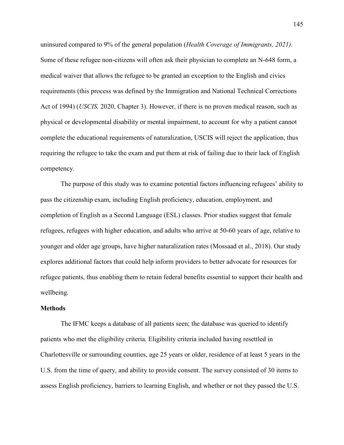uninsured compared to 9% of the general population (*Health Coverage of Immigrants, 2021)*. Some of these refugee non-citizens will often ask their physician to complete an N-648 form, a medical waiver that allows the refugee to be granted an exception to the English and civics requirements (this process was defined by the Immigration and National Technical Corrections Act of 1994) (*USCIS,* 2020, Chapter 3). However, if there is no proven medical reason, such as physical or developmental disability or mental impairment, to account for why a patient cannot complete the educational requirements of naturalization, USCIS will reject the application, thus requiring the refugee to take the exam and put them at risk of failing due to their lack of English competency.

The purpose of this study was to examine potential factors influencing refugees' ability to pass the citizenship exam, including English proficiency, education, employment, and completion of English as a Second Language (ESL) classes. Prior studies suggest that female refugees, refugees with higher education, and adults who arrive at 50-60 years of age, relative to younger and older age groups, have higher naturalization rates (Mossaad et al., 2018). Our study explores additional factors that could help inform providers to better advocate for resources for refugee patients, thus enabling them to retain federal benefits essential to support their health and wellbeing.

#### **Methods**

The IFMC keeps a database of all patients seen; the database was queried to identify patients who met the eligibility criteria. Eligibility criteria included having resettled in Charlottesville or surrounding counties, age 25 years or older, residence of at least 5 years in the U.S. from the time of query, and ability to provide consent. The survey consisted of 30 items to assess English proficiency, barriers to learning English, and whether or not they passed the U.S.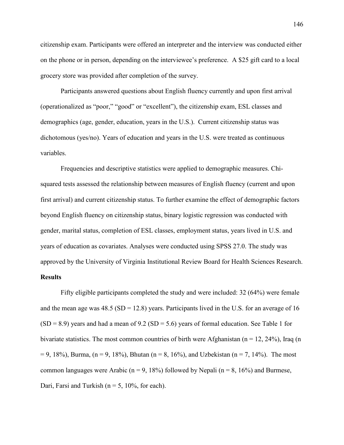citizenship exam. Participants were offered an interpreter and the interview was conducted either on the phone or in person, depending on the interviewee's preference. A \$25 gift card to a local grocery store was provided after completion of the survey.

Participants answered questions about English fluency currently and upon first arrival (operationalized as "poor," "good" or "excellent"), the citizenship exam, ESL classes and demographics (age, gender, education, years in the U.S.). Current citizenship status was dichotomous (yes/no). Years of education and years in the U.S. were treated as continuous variables.

Frequencies and descriptive statistics were applied to demographic measures. Chisquared tests assessed the relationship between measures of English fluency (current and upon first arrival) and current citizenship status. To further examine the effect of demographic factors beyond English fluency on citizenship status, binary logistic regression was conducted with gender, marital status, completion of ESL classes, employment status, years lived in U.S. and years of education as covariates. Analyses were conducted using SPSS 27.0. The study was approved by the University of Virginia Institutional Review Board for Health Sciences Research. **Results**

Fifty eligible participants completed the study and were included: 32 (64%) were female and the mean age was  $48.5$  (SD = 12.8) years. Participants lived in the U.S. for an average of 16  $(SD = 8.9)$  years and had a mean of 9.2  $(SD = 5.6)$  years of formal education. See Table 1 for bivariate statistics. The most common countries of birth were Afghanistan ( $n = 12, 24\%$ ), Iraq (n  $= 9, 18\%$ , Burma, (n = 9, 18%), Bhutan (n = 8, 16%), and Uzbekistan (n = 7, 14%). The most common languages were Arabic ( $n = 9$ , 18%) followed by Nepali ( $n = 8$ , 16%) and Burmese, Dari, Farsi and Turkish ( $n = 5$ , 10%, for each).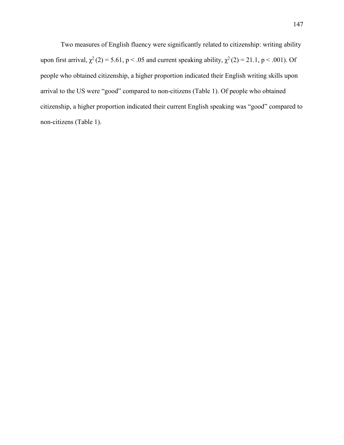Two measures of English fluency were significantly related to citizenship: writing ability upon first arrival,  $\chi^2(2) = 5.61$ , p < .05 and current speaking ability,  $\chi^2(2) = 21.1$ , p < .001). Of people who obtained citizenship, a higher proportion indicated their English writing skills upon arrival to the US were "good" compared to non-citizens (Table 1). Of people who obtained citizenship, a higher proportion indicated their current English speaking was "good" compared to non-citizens (Table 1).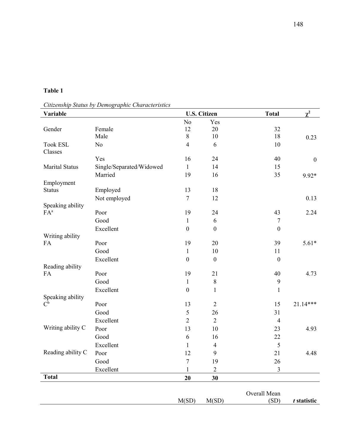*Citizenship Status by Demographic Characteristics*

| Variable                   |                          |                                  | <b>U.S. Citizen</b> | <b>Total</b>     | $\chi^2$         |  |
|----------------------------|--------------------------|----------------------------------|---------------------|------------------|------------------|--|
|                            |                          | N <sub>o</sub>                   | Yes                 |                  |                  |  |
| Gender                     | Female                   | 12                               | 20                  | 32               |                  |  |
|                            | Male                     | $8\,$                            | $10\,$              | 18               | 0.23             |  |
| <b>Took ESL</b>            | No                       | $\overline{4}$                   | 6                   | 10               |                  |  |
| Classes                    |                          |                                  |                     |                  |                  |  |
|                            | Yes                      | 16                               | 24                  | 40               | $\boldsymbol{0}$ |  |
| Marital Status             | Single/Separated/Widowed | $\mathbf{1}$                     | 14                  | 15               |                  |  |
|                            | Married                  | 19                               | 16                  | 35               | 9.92*            |  |
| Employment                 |                          |                                  |                     |                  |                  |  |
| <b>Status</b>              | Employed                 | 13                               | 18                  |                  |                  |  |
|                            | Not employed             | $\overline{7}$                   | 12                  |                  | 0.13             |  |
| Speaking ability<br>$FA^a$ | Poor                     | 19                               | 24                  | 43               | 2.24             |  |
|                            | Good                     |                                  | 6                   | $\tau$           |                  |  |
|                            |                          | $\mathbf{1}$<br>$\boldsymbol{0}$ | $\boldsymbol{0}$    | $\boldsymbol{0}$ |                  |  |
| Writing ability            | Excellent                |                                  |                     |                  |                  |  |
| FA                         | Poor                     | 19                               | 20                  | 39               | $5.61*$          |  |
|                            | Good                     | $\mathbf{1}$                     | 10                  | 11               |                  |  |
|                            | Excellent                | $\boldsymbol{0}$                 | $\boldsymbol{0}$    | $\boldsymbol{0}$ |                  |  |
| Reading ability            |                          |                                  |                     |                  |                  |  |
| FA                         | Poor                     | 19                               | 21                  | 40               | 4.73             |  |
|                            | Good                     | $\mathbf{1}$                     | $8\,$               | 9                |                  |  |
|                            | Excellent                | $\boldsymbol{0}$                 | $\mathbf{1}$        | $\mathbf{1}$     |                  |  |
| Speaking ability           |                          |                                  |                     |                  |                  |  |
| $C^{\mathfrak{b}}$         | Poor                     | 13                               | $\overline{2}$      | 15               | 21.14***         |  |
|                            | Good                     | 5                                | 26                  | 31               |                  |  |
|                            | Excellent                | $\overline{2}$                   | $\overline{2}$      | $\overline{4}$   |                  |  |
| Writing ability C          | Poor                     | 13                               | 10                  | 23               | 4.93             |  |
|                            | Good                     | 6                                | 16                  | 22               |                  |  |
|                            | Excellent                | $\mathbf{1}$                     | $\overline{4}$      | 5                |                  |  |
| Reading ability C          | Poor                     | 12                               | $\mathbf{9}$        | 21               | 4.48             |  |
|                            | Good                     | $\boldsymbol{7}$                 | 19                  | 26               |                  |  |
|                            | Excellent                | $\mathbf{1}$                     | $\overline{2}$      | $\mathfrak{Z}$   |                  |  |
| <b>Total</b>               |                          | 20                               | 30                  |                  |                  |  |
|                            |                          |                                  |                     | Overall Mean     |                  |  |
|                            |                          | M(SD)                            | M(SD)               | (SD)             | t statistic      |  |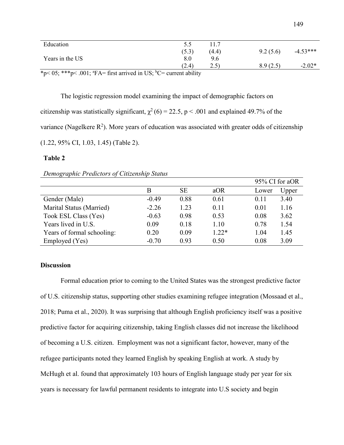| Education                                                                                       | כ.כ   | 11.7  |          |            |
|-------------------------------------------------------------------------------------------------|-------|-------|----------|------------|
|                                                                                                 | (5.3) | (4.4) | 9.2(5.6) | $-4.53***$ |
| Years in the US                                                                                 | 8.0   | 9.6   |          |            |
|                                                                                                 | (2.4) | (2.5) | 8.9(2.5) | $-2.02*$   |
| *p< 05; ***p< .001; ${}^{\text{a}}$ FA= first arrived in US; ${}^{\text{b}}$ C= current ability |       |       |          |            |

The logistic regression model examining the impact of demographic factors on citizenship was statistically significant,  $\chi^2$  (6) = 22.5, p < .001 and explained 49.7% of the variance (Nagelkere  $R^2$ ). More years of education was associated with greater odds of citizenship (1.22, 95% CI, 1.03, 1.45) (Table 2).

#### **Table 2**

| Demographic Predictors of Citizenship Status |  |  |  |
|----------------------------------------------|--|--|--|
|----------------------------------------------|--|--|--|

|                            |         |           |         |       | 95% CI for aOR |
|----------------------------|---------|-----------|---------|-------|----------------|
|                            | B       | <b>SE</b> | aOR     | Lower | Upper          |
| Gender (Male)              | $-0.49$ | 0.88      | 0.61    | 0.11  | 3.40           |
| Marital Status (Married)   | $-2.26$ | 1.23      | 0.11    | 0.01  | 1.16           |
| Took ESL Class (Yes)       | $-0.63$ | 0.98      | 0.53    | 0.08  | 3.62           |
| Years lived in U.S.        | 0.09    | 0.18      | 1.10    | 0.78  | 1.54           |
| Years of formal schooling: | 0.20    | 0.09      | $1.22*$ | 1.04  | 1.45           |
| Employed (Yes)             | $-0.70$ | 0.93      | 0.50    | 0.08  | 3.09           |

### **Discussion**

Formal education prior to coming to the United States was the strongest predictive factor of U.S. citizenship status, supporting other studies examining refugee integration (Mossaad et al., 2018; Puma et al., 2020). It was surprising that although English proficiency itself was a positive predictive factor for acquiring citizenship, taking English classes did not increase the likelihood of becoming a U.S. citizen. Employment was not a significant factor, however, many of the refugee participants noted they learned English by speaking English at work. A study by McHugh et al. found that approximately 103 hours of English language study per year for six years is necessary for lawful permanent residents to integrate into U.S society and begin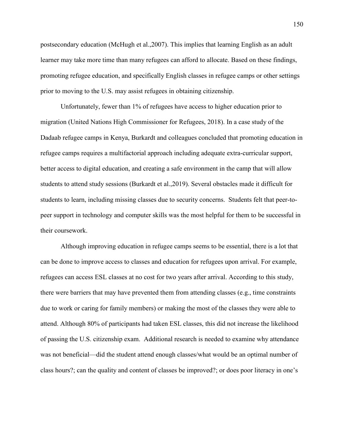postsecondary education (McHugh et al.,2007). This implies that learning English as an adult learner may take more time than many refugees can afford to allocate. Based on these findings, promoting refugee education, and specifically English classes in refugee camps or other settings prior to moving to the U.S. may assist refugees in obtaining citizenship.

Unfortunately, fewer than 1% of refugees have access to higher education prior to migration (United Nations High Commissioner for Refugees, 2018). In a case study of the Dadaab refugee camps in Kenya, Burkardt and colleagues concluded that promoting education in refugee camps requires a multifactorial approach including adequate extra-curricular support, better access to digital education, and creating a safe environment in the camp that will allow students to attend study sessions (Burkardt et al.,2019). Several obstacles made it difficult for students to learn, including missing classes due to security concerns. Students felt that peer-topeer support in technology and computer skills was the most helpful for them to be successful in their coursework.

Although improving education in refugee camps seems to be essential, there is a lot that can be done to improve access to classes and education for refugees upon arrival. For example, refugees can access ESL classes at no cost for two years after arrival. According to this study, there were barriers that may have prevented them from attending classes (e.g., time constraints due to work or caring for family members) or making the most of the classes they were able to attend. Although 80% of participants had taken ESL classes, this did not increase the likelihood of passing the U.S. citizenship exam. Additional research is needed to examine why attendance was not beneficial—did the student attend enough classes/what would be an optimal number of class hours?; can the quality and content of classes be improved?; or does poor literacy in one's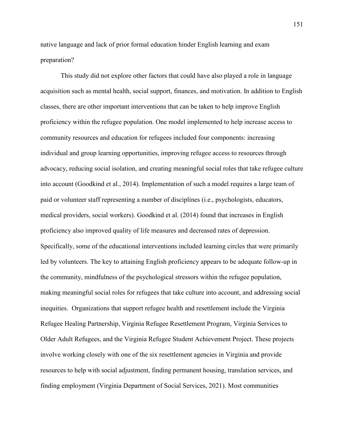native language and lack of prior formal education hinder English learning and exam preparation?

This study did not explore other factors that could have also played a role in language acquisition such as mental health, social support, finances, and motivation. In addition to English classes, there are other important interventions that can be taken to help improve English proficiency within the refugee population. One model implemented to help increase access to community resources and education for refugees included four components: increasing individual and group learning opportunities, improving refugee access to resources through advocacy, reducing social isolation, and creating meaningful social roles that take refugee culture into account (Goodkind et al., 2014). Implementation of such a model requires a large team of paid or volunteer staff representing a number of disciplines (i.e., psychologists, educators, medical providers, social workers). Goodkind et al. (2014) found that increases in English proficiency also improved quality of life measures and decreased rates of depression. Specifically, some of the educational interventions included learning circles that were primarily led by volunteers. The key to attaining English proficiency appears to be adequate follow-up in the community, mindfulness of the psychological stressors within the refugee population, making meaningful social roles for refugees that take culture into account, and addressing social inequities. Organizations that support refugee health and resettlement include the Virginia Refugee Healing Partnership, Virginia Refugee Resettlement Program, Virginia Services to Older Adult Refugees, and the Virginia Refugee Student Achievement Project. These projects involve working closely with one of the six resettlement agencies in Virginia and provide resources to help with social adjustment, finding permanent housing, translation services, and finding employment (Virginia Department of Social Services, 2021). Most communities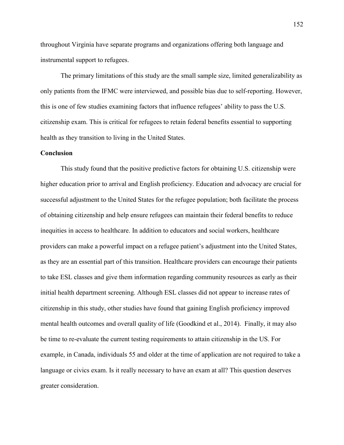throughout Virginia have separate programs and organizations offering both language and instrumental support to refugees.

The primary limitations of this study are the small sample size, limited generalizability as only patients from the IFMC were interviewed, and possible bias due to self-reporting. However, this is one of few studies examining factors that influence refugees' ability to pass the U.S. citizenship exam. This is critical for refugees to retain federal benefits essential to supporting health as they transition to living in the United States.

#### **Conclusion**

This study found that the positive predictive factors for obtaining U.S. citizenship were higher education prior to arrival and English proficiency. Education and advocacy are crucial for successful adjustment to the United States for the refugee population; both facilitate the process of obtaining citizenship and help ensure refugees can maintain their federal benefits to reduce inequities in access to healthcare. In addition to educators and social workers, healthcare providers can make a powerful impact on a refugee patient's adjustment into the United States, as they are an essential part of this transition. Healthcare providers can encourage their patients to take ESL classes and give them information regarding community resources as early as their initial health department screening. Although ESL classes did not appear to increase rates of citizenship in this study, other studies have found that gaining English proficiency improved mental health outcomes and overall quality of life (Goodkind et al., 2014). Finally, it may also be time to re-evaluate the current testing requirements to attain citizenship in the US. For example, in Canada, individuals 55 and older at the time of application are not required to take a language or civics exam. Is it really necessary to have an exam at all? This question deserves greater consideration.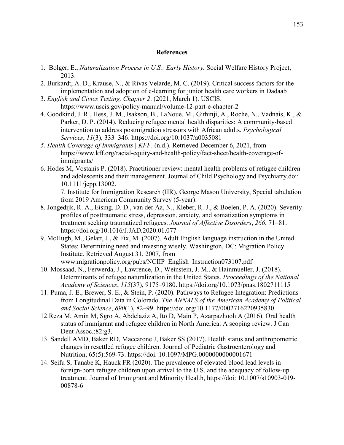#### **References**

- 1. Bolger, E., *Naturalization Process in U.S.: Early History.* Social Welfare History Project, 2013.
- 2. Burkardt, A. D., Krause, N., & Rivas Velarde, M. C. (2019). Critical success factors for the implementation and adoption of e-learning for junior health care workers in Dadaab
- 3. *English and Civics Testing, Chapter 2*. (2021, March 1). USCIS. https://www.uscis.gov/policy-manual/volume-12-part-e-chapter-2
- 4. Goodkind, J. R., Hess, J. M., Isakson, B., LaNoue, M., Githinji, A., Roche, N., Vadnais, K., & Parker, D. P. (2014). Reducing refugee mental health disparities: A community-based intervention to address postmigration stressors with African adults. *Psychological Services*, *11*(3), 333–346. https://doi.org/10.1037/a0035081
- *5. Health Coverage of Immigrants | KFF*. (n.d.). Retrieved December 6, 2021, from https://www.kff.org/racial-equity-and-health-policy/fact-sheet/health-coverage-ofimmigrants/
- 6. Hodes M, Vostanis P. (2018). Practitioner review: mental health problems of refugee children and adolescents and their management. Journal of Child Psychology and Psychiatry.doi: 10.1111/jcpp.13002.

7. Institute for Immigration Research (IIR), George Mason University, Special tabulation from 2019 American Community Survey (5-year).

- 8. Jongedijk, R. A., Eising, D. D., van der Aa, N., Kleber, R. J., & Boelen, P. A. (2020). Severity profiles of posttraumatic stress, depression, anxiety, and somatization symptoms in treatment seeking traumatized refugees. *Journal of Affective Disorders*, *266*, 71–81. https://doi.org/10.1016/J.JAD.2020.01.077
- 9. McHugh, M., Gelatt, J., & Fix, M. (2007). Adult English language instruction in the United States: Determining need and investing wisely. Washington, DC: Migration Policy Institute. Retrieved August 31, 2007, from www.migrationpolicy.org/pubs/NCIIP\_English\_Instruction073107.pdf
- 10. Mossaad, N., Ferwerda, J., Lawrence, D., Weinstein, J. M., & Hainmueller, J. (2018). Determinants of refugee naturalization in the United States. *Proceedings of the National Academy of Sciences*, *115*(37), 9175–9180. https://doi.org/10.1073/pnas.1802711115
- 11. Puma, J. E., Brewer, S. E., & Stein, P. (2020). Pathways to Refugee Integration: Predictions from Longitudinal Data in Colorado. *The ANNALS of the American Academy of Political and Social Science*, *690*(1), 82–99. https://doi.org/10.1177/0002716220935830
- 12.Reza M, Amin M, Sgro A, Abdelaziz A, Ito D, Main P, Azarpazhooh A (2016). Oral health status of immigrant and refugee children in North America: A scoping review. J Can Dent Assoc.; 82: g3.
- 13. Sandell AMD, Baker RD, Maccarone J, Baker SS (2017). Health status and anthropometric changes in resettled refugee children. Journal of Pediatric Gastroenterology and Nutrition, 65(5):569-73. https://doi: 10.1097/MPG.0000000000001671
- 14. Seifu S, Tanabe K, Hauck FR (2020). The prevalence of elevated blood lead levels in foreign-born refugee children upon arrival to the U.S. and the adequacy of follow-up treatment. Journal of Immigrant and Minority Health, https://doi: 10.1007/s10903-019- 00878-6